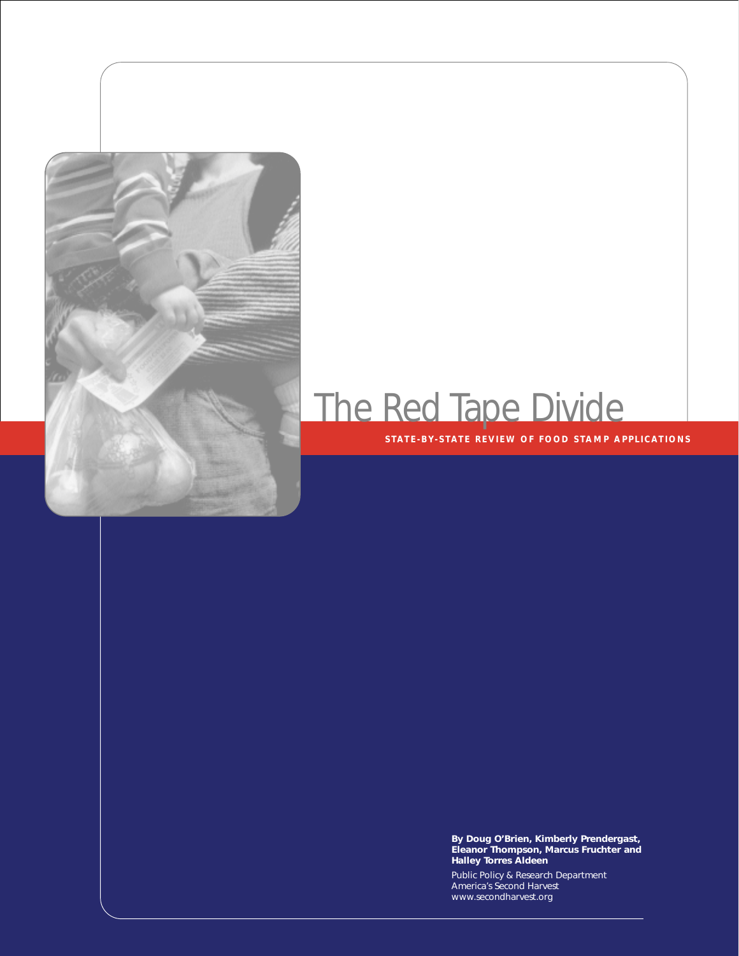

# The Red Tape Divide

#### **STATE-BY-STATE REVIEW OF FOOD STAMP APPLICATIONS**

**By Doug O'Brien, Kimberly Prendergast, Eleanor Thompson, Marcus Fruchter and Halley Torres Aldeen**

Public Policy & Research Department America's Second Harvest www.secondharvest.org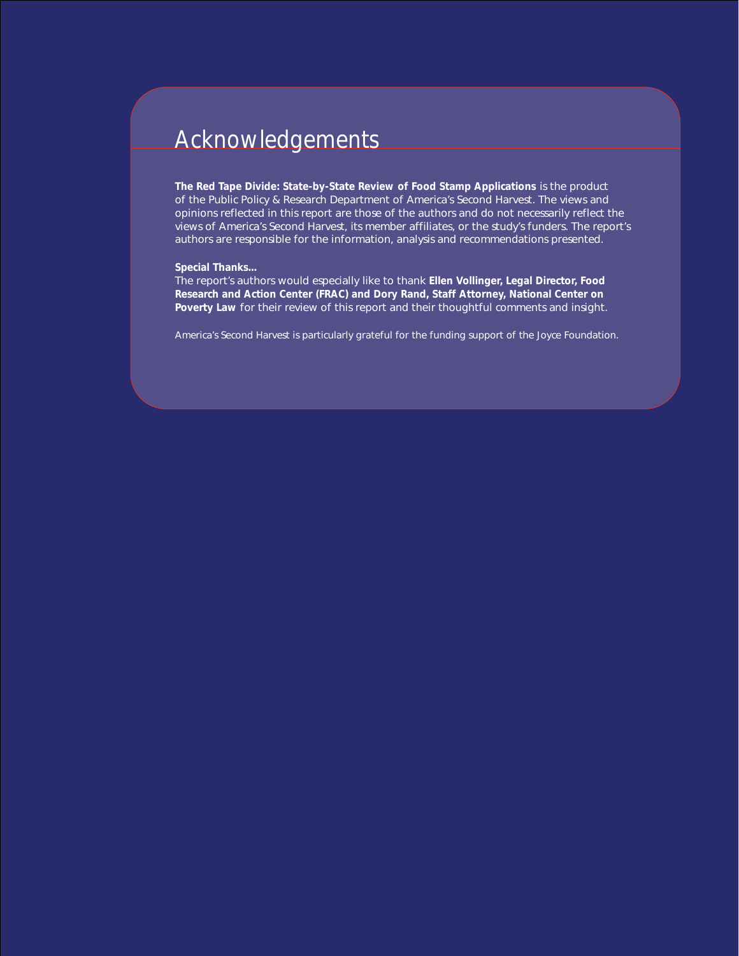### Acknowledgements

*The Red Tape Divide: State-by-State Review of Food Stamp Applications* is the product of the Public Policy & Research Department of America's Second Harvest. The views and opinions reflected in this report are those of the authors and do not necessarily reflect the views of America's Second Harvest, its member affiliates, or the study's funders. The report's authors are responsible for the information, analysis and recommendations presented.

#### **Special Thanks...**

The report's authors would especially like to thank **Ellen Vollinger, Legal Director, Food Research and Action Center (FRAC) and Dory Rand, Staff Attorney, National Center on Poverty Law** for their review of this report and their thoughtful comments and insight.

*America's Second Harvest is particularly grateful for the funding support of the Joyce Foundation.*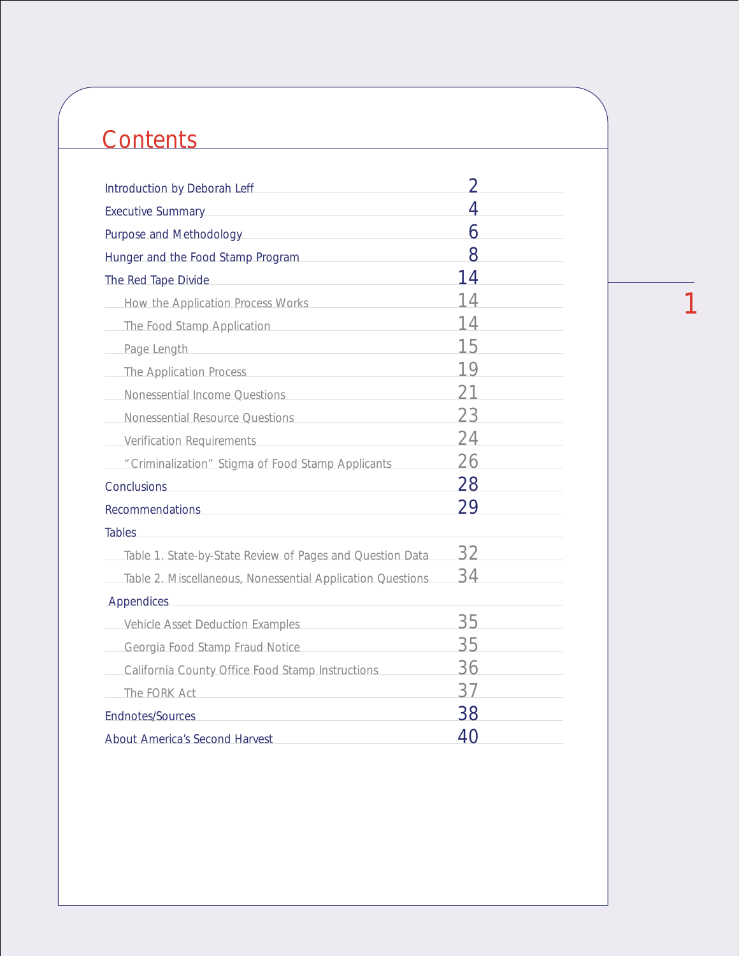# **Contents**

| Introduction by Deborah Leff                               | V  |
|------------------------------------------------------------|----|
| <b>Executive Summary</b>                                   | 4  |
| Purpose and Methodology                                    | 6  |
| Hunger and the Food Stamp Program                          | 8  |
| The Red Tape Divide                                        | 14 |
| How the Application Process Works                          | 14 |
| The Food Stamp Application                                 | 14 |
| Page Length                                                | 15 |
| The Application Process                                    | 19 |
| Nonessential Income Questions                              | 21 |
| Nonessential Resource Questions                            | 23 |
| <b>Verification Requirements</b>                           | 24 |
| "Criminalization" Stigma of Food Stamp Applicants          | 26 |
| Conclusions                                                | 28 |
| <b>Recommendations</b>                                     | 29 |
| <b>Tables</b>                                              |    |
| Table 1. State-by-State Review of Pages and Question Data  | 32 |
| Table 2. Miscellaneous, Nonessential Application Questions | 34 |
| Appendices                                                 |    |
| Vehicle Asset Deduction Examples                           | 35 |
| Georgia Food Stamp Fraud Notice                            | 35 |
| California County Office Food Stamp Instructions           | 36 |
| The FORK Act                                               | 37 |
| <b>Endnotes/Sources</b>                                    | 38 |
| About America's Second Harvest                             | 40 |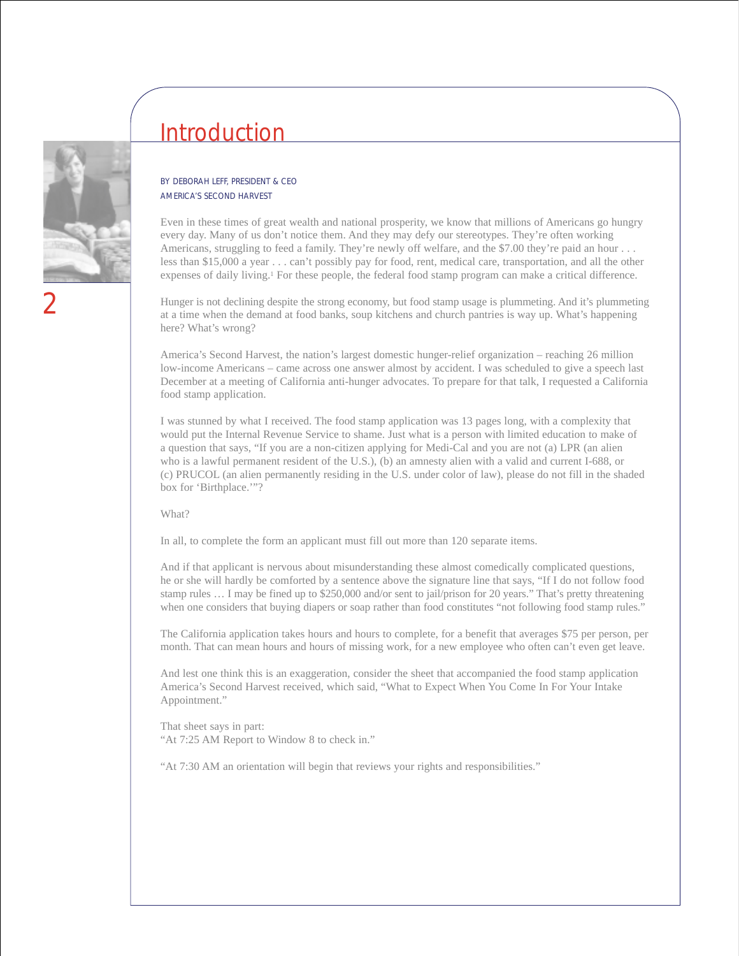

### Introduction

#### BY DEBORAH LEFF, PRESIDENT & CEO AMERICA'S SECOND HARVEST

Even in these times of great wealth and national prosperity, we know that millions of Americans go hungry every day. Many of us don't notice them. And they may defy our stereotypes. They're often working Americans, struggling to feed a family. They're newly off welfare, and the \$7.00 they're paid an hour . . . less than \$15,000 a year . . . can't possibly pay for food, rent, medical care, transportation, and all the other expenses of daily living.1 For these people, the federal food stamp program can make a critical difference.

Hunger is not declining despite the strong economy, but food stamp usage is plummeting. And it's plummeting at a time when the demand at food banks, soup kitchens and church pantries is way up. What's happening here? What's wrong?

America's Second Harvest, the nation's largest domestic hunger-relief organization – reaching 26 million low-income Americans – came across one answer almost by accident. I was scheduled to give a speech last December at a meeting of California anti-hunger advocates. To prepare for that talk, I requested a California food stamp application.

I was stunned by what I received. The food stamp application was 13 pages long, with a complexity that would put the Internal Revenue Service to shame. Just what is a person with limited education to make of a question that says, "If you are a non-citizen applying for Medi-Cal and you are not (a) LPR (an alien who is a lawful permanent resident of the U.S.), (b) an amnesty alien with a valid and current I-688, or (c) PRUCOL (an alien permanently residing in the U.S. under color of law), please do not fill in the shaded box for 'Birthplace.'"?

What?

In all, to complete the form an applicant must fill out more than 120 separate items.

And if that applicant is nervous about misunderstanding these almost comedically complicated questions, he or she will hardly be comforted by a sentence above the signature line that says, "If I do not follow food stamp rules … I may be fined up to \$250,000 and/or sent to jail/prison for 20 years." That's pretty threatening when one considers that buying diapers or soap rather than food constitutes "not following food stamp rules."

The California application takes hours and hours to complete, for a benefit that averages \$75 per person, per month. That can mean hours and hours of missing work, for a new employee who often can't even get leave.

And lest one think this is an exaggeration, consider the sheet that accompanied the food stamp application America's Second Harvest received, which said, "What to Expect When You Come In For Your Intake Appointment."

That sheet says in part: "At 7:25 AM Report to Window 8 to check in."

"At 7:30 AM an orientation will begin that reviews your rights and responsibilities."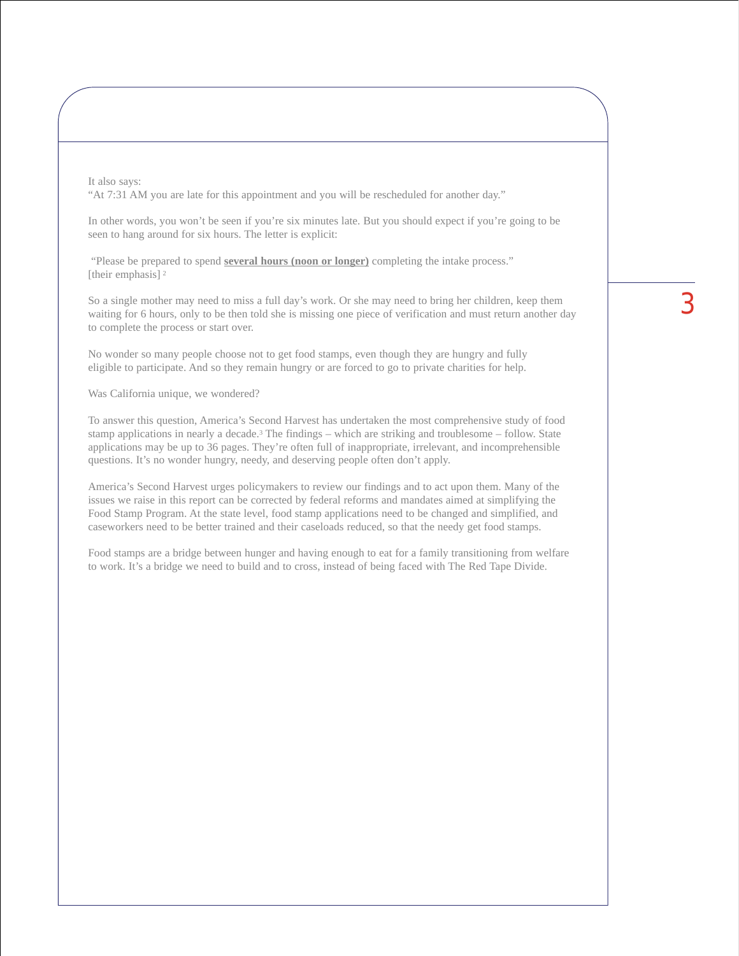It also says: "At 7:31 AM you are late for this appointment and you will be rescheduled for another day."

In other words, you won't be seen if you're six minutes late. But you should expect if you're going to be seen to hang around for six hours. The letter is explicit:

"Please be prepared to spend **several hours (noon or longer)** completing the intake process." [their emphasis]<sup>2</sup>

So a single mother may need to miss a full day's work. Or she may need to bring her children, keep them waiting for 6 hours, only to be then told she is missing one piece of verification and must return another day to complete the process or start over.

No wonder so many people choose not to get food stamps, even though they are hungry and fully eligible to participate. And so they remain hungry or are forced to go to private charities for help.

Was California unique, we wondered?

To answer this question, America's Second Harvest has undertaken the most comprehensive study of food stamp applications in nearly a decade.<sup>3</sup> The findings – which are striking and troublesome – follow. State applications may be up to 36 pages. They're often full of inappropriate, irrelevant, and incomprehensible questions. It's no wonder hungry, needy, and deserving people often don't apply.

America's Second Harvest urges policymakers to review our findings and to act upon them. Many of the issues we raise in this report can be corrected by federal reforms and mandates aimed at simplifying the Food Stamp Program. At the state level, food stamp applications need to be changed and simplified, and caseworkers need to be better trained and their caseloads reduced, so that the needy get food stamps.

Food stamps are a bridge between hunger and having enough to eat for a family transitioning from welfare to work. It's a bridge we need to build and to cross, instead of being faced with The Red Tape Divide.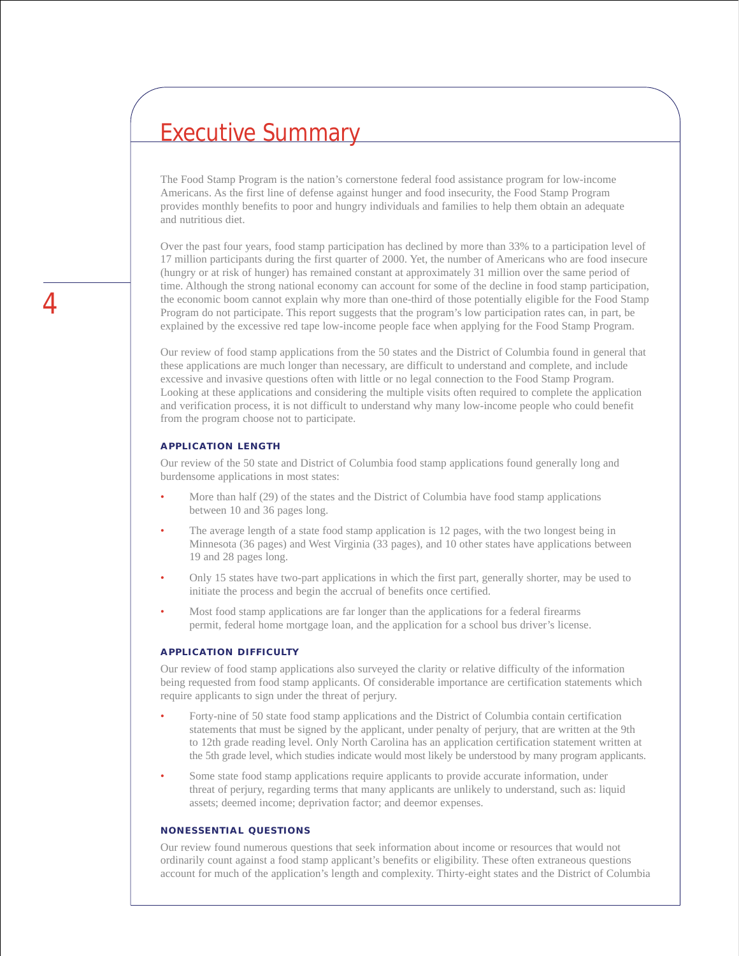### Executive Summary

The Food Stamp Program is the nation's cornerstone federal food assistance program for low-income Americans. As the first line of defense against hunger and food insecurity, the Food Stamp Program provides monthly benefits to poor and hungry individuals and families to help them obtain an adequate and nutritious diet.

Over the past four years, food stamp participation has declined by more than 33% to a participation level of 17 million participants during the first quarter of 2000. Yet, the number of Americans who are food insecure (hungry or at risk of hunger) has remained constant at approximately 31 million over the same period of time. Although the strong national economy can account for some of the decline in food stamp participation, the economic boom cannot explain why more than one-third of those potentially eligible for the Food Stamp Program do not participate. This report suggests that the program's low participation rates can, in part, be explained by the excessive red tape low-income people face when applying for the Food Stamp Program.

Our review of food stamp applications from the 50 states and the District of Columbia found in general that these applications are much longer than necessary, are difficult to understand and complete, and include excessive and invasive questions often with little or no legal connection to the Food Stamp Program. Looking at these applications and considering the multiple visits often required to complete the application and verification process, it is not difficult to understand why many low-income people who could benefit from the program choose not to participate.

#### **APPLICATION LENGTH**

Our review of the 50 state and District of Columbia food stamp applications found generally long and burdensome applications in most states:

- More than half (29) of the states and the District of Columbia have food stamp applications between 10 and 36 pages long.
- The average length of a state food stamp application is 12 pages, with the two longest being in Minnesota (36 pages) and West Virginia (33 pages), and 10 other states have applications between 19 and 28 pages long.
- Only 15 states have two-part applications in which the first part, generally shorter, may be used to initiate the process and begin the accrual of benefits once certified.
- Most food stamp applications are far longer than the applications for a federal firearms permit, federal home mortgage loan, and the application for a school bus driver's license.

#### **APPLICATION DIFFICULTY**

Our review of food stamp applications also surveyed the clarity or relative difficulty of the information being requested from food stamp applicants. Of considerable importance are certification statements which require applicants to sign under the threat of perjury.

- Forty-nine of 50 state food stamp applications and the District of Columbia contain certification statements that must be signed by the applicant, under penalty of perjury, that are written at the 9th to 12th grade reading level. Only North Carolina has an application certification statement written at the 5th grade level, which studies indicate would most likely be understood by many program applicants.
- Some state food stamp applications require applicants to provide accurate information, under threat of perjury, regarding terms that many applicants are unlikely to understand, such as: liquid assets; deemed income; deprivation factor; and deemor expenses.

#### **NONESSENTIAL QUESTIONS**

Our review found numerous questions that seek information about income or resources that would not ordinarily count against a food stamp applicant's benefits or eligibility. These often extraneous questions account for much of the application's length and complexity. Thirty-eight states and the District of Columbia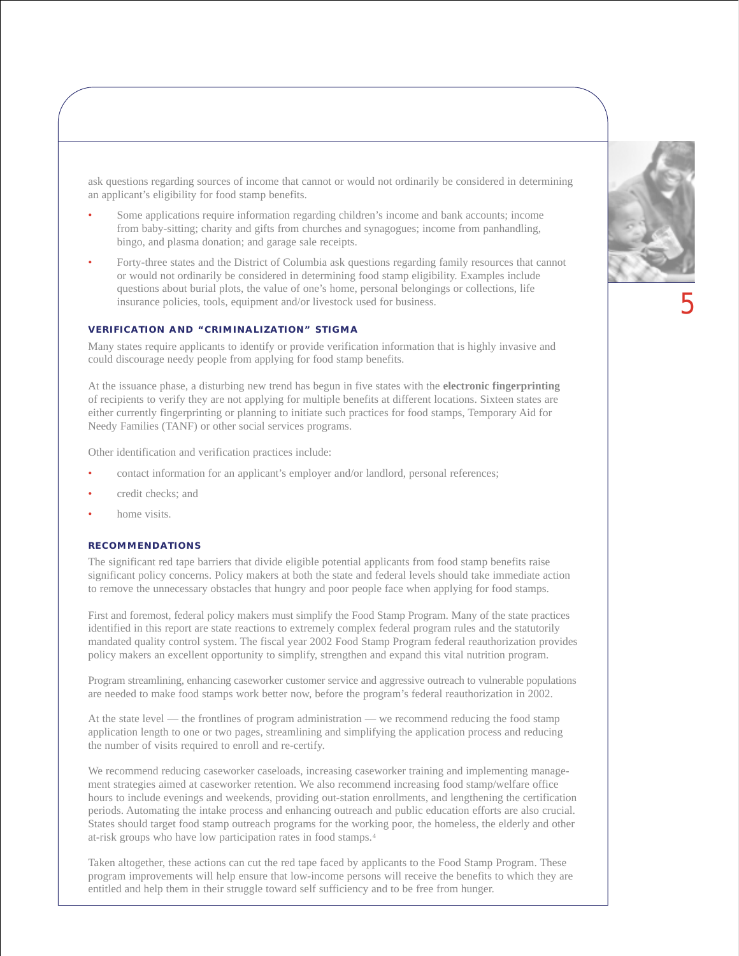ask questions regarding sources of income that cannot or would not ordinarily be considered in determining an applicant's eligibility for food stamp benefits.

- Some applications require information regarding children's income and bank accounts; income from baby-sitting; charity and gifts from churches and synagogues; income from panhandling, bingo, and plasma donation; and garage sale receipts.
- Forty-three states and the District of Columbia ask questions regarding family resources that cannot or would not ordinarily be considered in determining food stamp eligibility. Examples include questions about burial plots, the value of one's home, personal belongings or collections, life insurance policies, tools, equipment and/or livestock used for business.

#### **VERIFICATION AND "CRIMINALIZATION" STIGMA**

Many states require applicants to identify or provide verification information that is highly invasive and could discourage needy people from applying for food stamp benefits.

At the issuance phase, a disturbing new trend has begun in five states with the **electronic fingerprinting** of recipients to verify they are not applying for multiple benefits at different locations. Sixteen states are either currently fingerprinting or planning to initiate such practices for food stamps, Temporary Aid for Needy Families (TANF) or other social services programs.

Other identification and verification practices include:

- contact information for an applicant's employer and/or landlord, personal references;
- credit checks; and
- home visits.

#### **RECOMMENDATIONS**

The significant red tape barriers that divide eligible potential applicants from food stamp benefits raise significant policy concerns. Policy makers at both the state and federal levels should take immediate action to remove the unnecessary obstacles that hungry and poor people face when applying for food stamps.

First and foremost, federal policy makers must simplify the Food Stamp Program. Many of the state practices identified in this report are state reactions to extremely complex federal program rules and the statutorily mandated quality control system. The fiscal year 2002 Food Stamp Program federal reauthorization provides policy makers an excellent opportunity to simplify, strengthen and expand this vital nutrition program.

Program streamlining, enhancing caseworker customer service and aggressive outreach to vulnerable populations are needed to make food stamps work better now, before the program's federal reauthorization in 2002.

At the state level — the frontlines of program administration — we recommend reducing the food stamp application length to one or two pages, streamlining and simplifying the application process and reducing the number of visits required to enroll and re-certify.

We recommend reducing caseworker caseloads, increasing caseworker training and implementing management strategies aimed at caseworker retention. We also recommend increasing food stamp/welfare office hours to include evenings and weekends, providing out-station enrollments, and lengthening the certification periods. Automating the intake process and enhancing outreach and public education efforts are also crucial. States should target food stamp outreach programs for the working poor, the homeless, the elderly and other at-risk groups who have low participation rates in food stamps.4

Taken altogether, these actions can cut the red tape faced by applicants to the Food Stamp Program. These program improvements will help ensure that low-income persons will receive the benefits to which they are entitled and help them in their struggle toward self sufficiency and to be free from hunger.

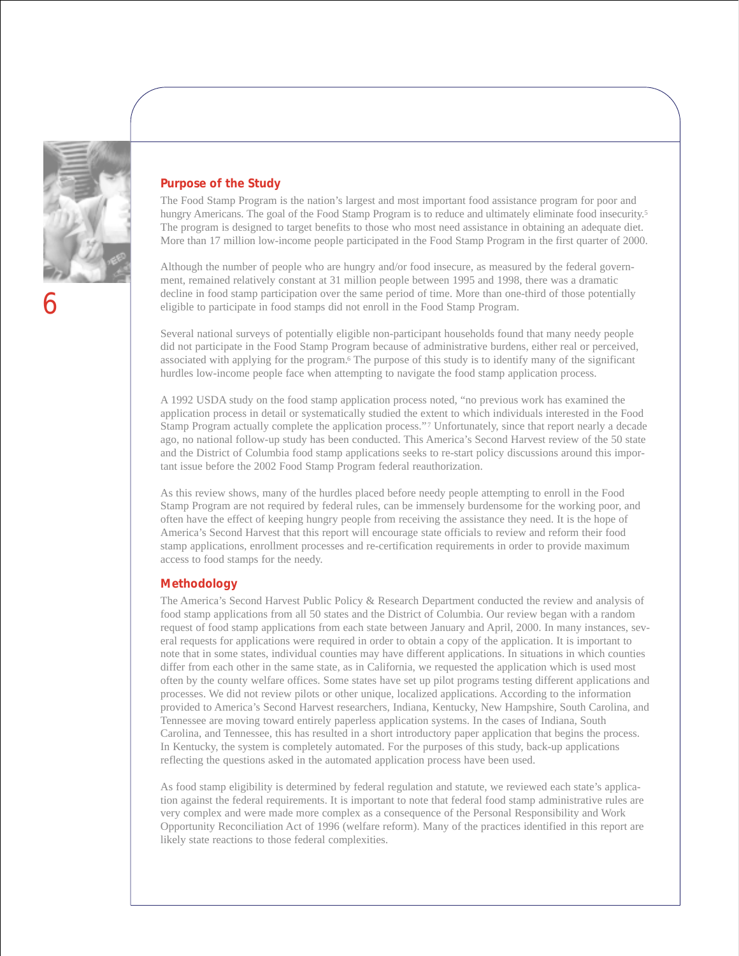

#### **Purpose of the Study**

The Food Stamp Program is the nation's largest and most important food assistance program for poor and hungry Americans. The goal of the Food Stamp Program is to reduce and ultimately eliminate food insecurity.<sup>5</sup> The program is designed to target benefits to those who most need assistance in obtaining an adequate diet. More than 17 million low-income people participated in the Food Stamp Program in the first quarter of 2000.

Although the number of people who are hungry and/or food insecure, as measured by the federal government, remained relatively constant at 31 million people between 1995 and 1998, there was a dramatic decline in food stamp participation over the same period of time. More than one-third of those potentially eligible to participate in food stamps did not enroll in the Food Stamp Program.

Several national surveys of potentially eligible non-participant households found that many needy people did not participate in the Food Stamp Program because of administrative burdens, either real or perceived, associated with applying for the program.6 The purpose of this study is to identify many of the significant hurdles low-income people face when attempting to navigate the food stamp application process.

A 1992 USDA study on the food stamp application process noted, "no previous work has examined the application process in detail or systematically studied the extent to which individuals interested in the Food Stamp Program actually complete the application process." <sup>7</sup> Unfortunately, since that report nearly a decade ago, no national follow-up study has been conducted. This America's Second Harvest review of the 50 state and the District of Columbia food stamp applications seeks to re-start policy discussions around this important issue before the 2002 Food Stamp Program federal reauthorization.

As this review shows, many of the hurdles placed before needy people attempting to enroll in the Food Stamp Program are not required by federal rules, can be immensely burdensome for the working poor, and often have the effect of keeping hungry people from receiving the assistance they need. It is the hope of America's Second Harvest that this report will encourage state officials to review and reform their food stamp applications, enrollment processes and re-certification requirements in order to provide maximum access to food stamps for the needy.

#### **Methodology**

The America's Second Harvest Public Policy & Research Department conducted the review and analysis of food stamp applications from all 50 states and the District of Columbia. Our review began with a random request of food stamp applications from each state between January and April, 2000. In many instances, several requests for applications were required in order to obtain a copy of the application. It is important to note that in some states, individual counties may have different applications. In situations in which counties differ from each other in the same state, as in California, we requested the application which is used most often by the county welfare offices. Some states have set up pilot programs testing different applications and processes. We did not review pilots or other unique, localized applications. According to the information provided to America's Second Harvest researchers, Indiana, Kentucky, New Hampshire, South Carolina, and Tennessee are moving toward entirely paperless application systems. In the cases of Indiana, South Carolina, and Tennessee, this has resulted in a short introductory paper application that begins the process. In Kentucky, the system is completely automated. For the purposes of this study, back-up applications reflecting the questions asked in the automated application process have been used.

As food stamp eligibility is determined by federal regulation and statute, we reviewed each state's application against the federal requirements. It is important to note that federal food stamp administrative rules are very complex and were made more complex as a consequence of the Personal Responsibility and Work Opportunity Reconciliation Act of 1996 (welfare reform). Many of the practices identified in this report are likely state reactions to those federal complexities.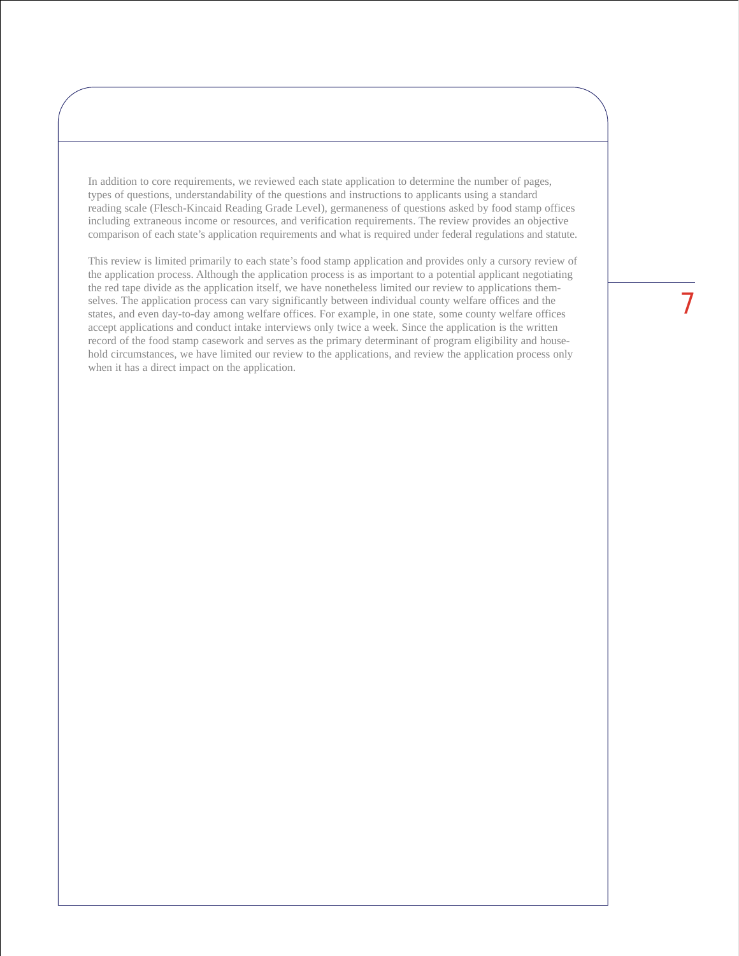In addition to core requirements, we reviewed each state application to determine the number of pages, types of questions, understandability of the questions and instructions to applicants using a standard reading scale (Flesch-Kincaid Reading Grade Level), germaneness of questions asked by food stamp offices including extraneous income or resources, and verification requirements. The review provides an objective comparison of each state's application requirements and what is required under federal regulations and statute.

This review is limited primarily to each state's food stamp application and provides only a cursory review of the application process. Although the application process is as important to a potential applicant negotiating the red tape divide as the application itself, we have nonetheless limited our review to applications themselves. The application process can vary significantly between individual county welfare offices and the states, and even day-to-day among welfare offices. For example, in one state, some county welfare offices accept applications and conduct intake interviews only twice a week. Since the application is the written record of the food stamp casework and serves as the primary determinant of program eligibility and household circumstances, we have limited our review to the applications, and review the application process only when it has a direct impact on the application.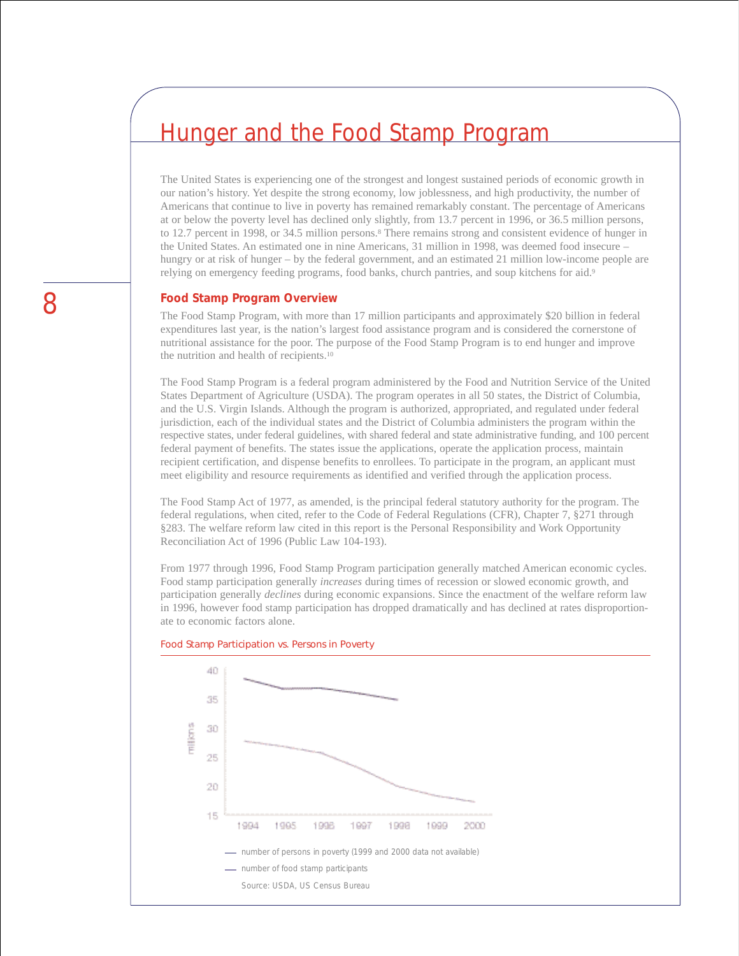### Hunger and the Food Stamp Program

The United States is experiencing one of the strongest and longest sustained periods of economic growth in our nation's history. Yet despite the strong economy, low joblessness, and high productivity, the number of Americans that continue to live in poverty has remained remarkably constant. The percentage of Americans at or below the poverty level has declined only slightly, from 13.7 percent in 1996, or 36.5 million persons, to 12.7 percent in 1998, or 34.5 million persons.8 There remains strong and consistent evidence of hunger in the United States. An estimated one in nine Americans, 31 million in 1998, was deemed food insecure – hungry or at risk of hunger – by the federal government, and an estimated 21 million low-income people are relying on emergency feeding programs, food banks, church pantries, and soup kitchens for aid.9

#### **Food Stamp Program Overview**

The Food Stamp Program, with more than 17 million participants and approximately \$20 billion in federal expenditures last year, is the nation's largest food assistance program and is considered the cornerstone of nutritional assistance for the poor. The purpose of the Food Stamp Program is to end hunger and improve the nutrition and health of recipients.10

The Food Stamp Program is a federal program administered by the Food and Nutrition Service of the United States Department of Agriculture (USDA). The program operates in all 50 states, the District of Columbia, and the U.S. Virgin Islands. Although the program is authorized, appropriated, and regulated under federal jurisdiction, each of the individual states and the District of Columbia administers the program within the respective states, under federal guidelines, with shared federal and state administrative funding, and 100 percent federal payment of benefits. The states issue the applications, operate the application process, maintain recipient certification, and dispense benefits to enrollees. To participate in the program, an applicant must meet eligibility and resource requirements as identified and verified through the application process.

The Food Stamp Act of 1977, as amended, is the principal federal statutory authority for the program. The federal regulations, when cited, refer to the Code of Federal Regulations (CFR), Chapter 7, §271 through §283. The welfare reform law cited in this report is the Personal Responsibility and Work Opportunity Reconciliation Act of 1996 (Public Law 104-193).

From 1977 through 1996, Food Stamp Program participation generally matched American economic cycles. Food stamp participation generally *increases* during times of recession or slowed economic growth, and participation generally *declines* during economic expansions. Since the enactment of the welfare reform law in 1996, however food stamp participation has dropped dramatically and has declined at rates disproportionate to economic factors alone.



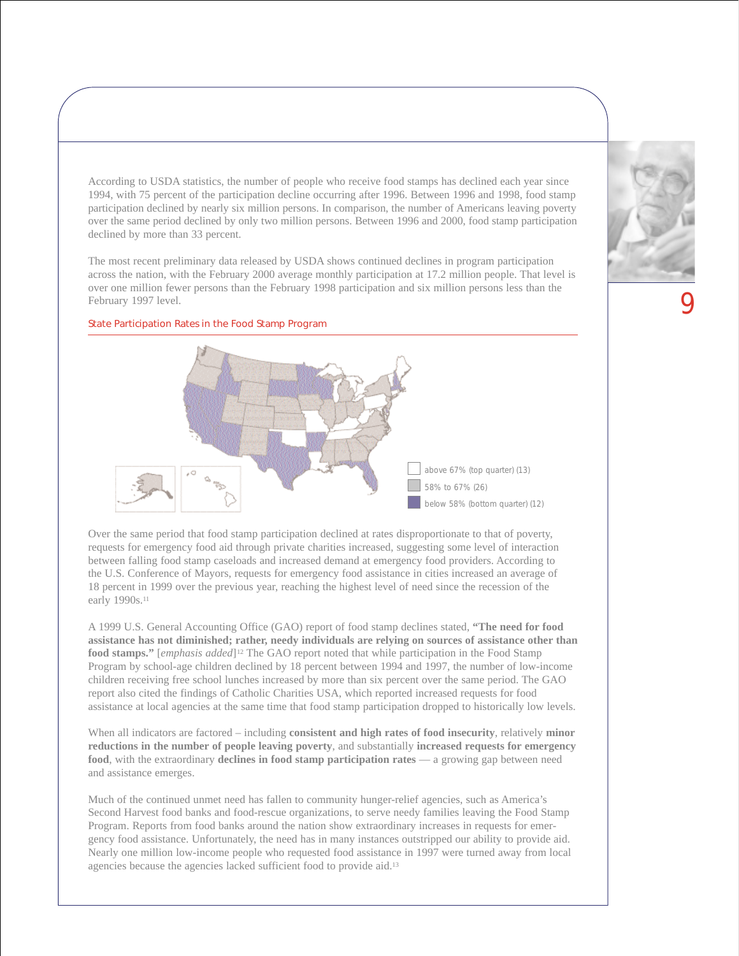According to USDA statistics, the number of people who receive food stamps has declined each year since 1994, with 75 percent of the participation decline occurring after 1996. Between 1996 and 1998, food stamp participation declined by nearly six million persons. In comparison, the number of Americans leaving poverty over the same period declined by only two million persons. Between 1996 and 2000, food stamp participation declined by more than 33 percent.

The most recent preliminary data released by USDA shows continued declines in program participation across the nation, with the February 2000 average monthly participation at 17.2 million people. That level is over one million fewer persons than the February 1998 participation and six million persons less than the February 1997 level.





Over the same period that food stamp participation declined at rates disproportionate to that of poverty, requests for emergency food aid through private charities increased, suggesting some level of interaction between falling food stamp caseloads and increased demand at emergency food providers. According to the U.S. Conference of Mayors, requests for emergency food assistance in cities increased an average of 18 percent in 1999 over the previous year, reaching the highest level of need since the recession of the early 1990s.11

A 1999 U.S. General Accounting Office (GAO) report of food stamp declines stated, **"The need for food assistance has not diminished; rather, needy individuals are relying on sources of assistance other than food stamps."** [*emphasis added*]12 The GAO report noted that while participation in the Food Stamp Program by school-age children declined by 18 percent between 1994 and 1997, the number of low-income children receiving free school lunches increased by more than six percent over the same period. The GAO report also cited the findings of Catholic Charities USA, which reported increased requests for food assistance at local agencies at the same time that food stamp participation dropped to historically low levels.

When all indicators are factored – including **consistent and high rates of food insecurity**, relatively **minor reductions in the number of people leaving poverty**, and substantially **increased requests for emergency food**, with the extraordinary **declines in food stamp participation rates** — a growing gap between need and assistance emerges.

Much of the continued unmet need has fallen to community hunger-relief agencies, such as America's Second Harvest food banks and food-rescue organizations, to serve needy families leaving the Food Stamp Program. Reports from food banks around the nation show extraordinary increases in requests for emergency food assistance. Unfortunately, the need has in many instances outstripped our ability to provide aid. Nearly one million low-income people who requested food assistance in 1997 were turned away from local agencies because the agencies lacked sufficient food to provide aid.13

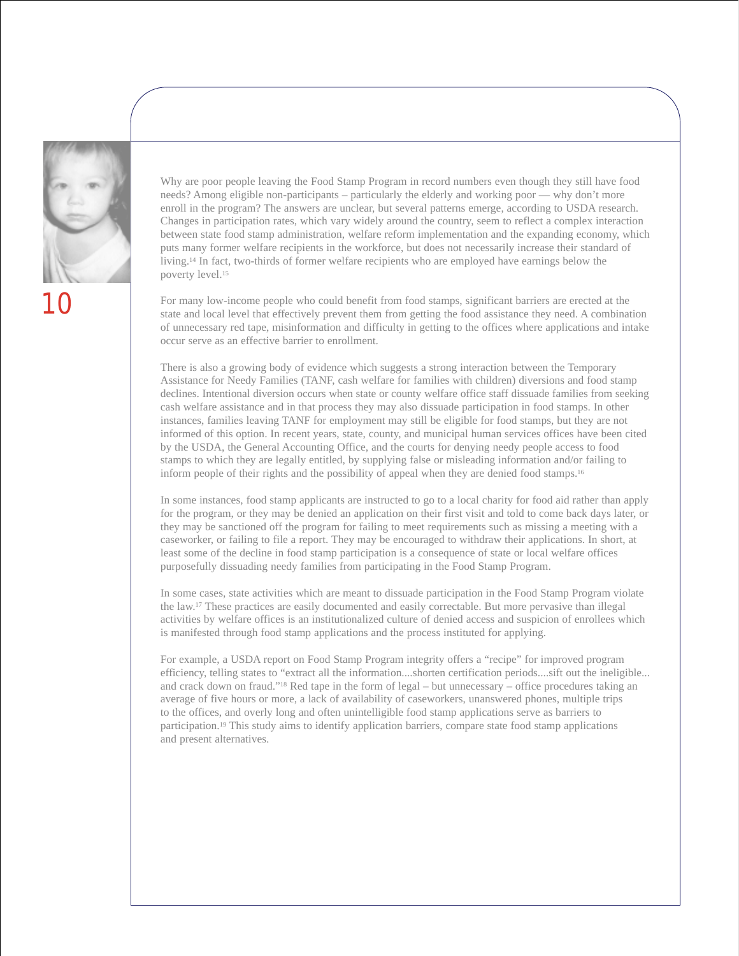

Why are poor people leaving the Food Stamp Program in record numbers even though they still have food needs? Among eligible non-participants – particularly the elderly and working poor — why don't more enroll in the program? The answers are unclear, but several patterns emerge, according to USDA research. Changes in participation rates, which vary widely around the country, seem to reflect a complex interaction between state food stamp administration, welfare reform implementation and the expanding economy, which puts many former welfare recipients in the workforce, but does not necessarily increase their standard of living.14 In fact, two-thirds of former welfare recipients who are employed have earnings below the poverty level.15

For many low-income people who could benefit from food stamps, significant barriers are erected at the state and local level that effectively prevent them from getting the food assistance they need. A combination of unnecessary red tape, misinformation and difficulty in getting to the offices where applications and intake occur serve as an effective barrier to enrollment.

There is also a growing body of evidence which suggests a strong interaction between the Temporary Assistance for Needy Families (TANF, cash welfare for families with children) diversions and food stamp declines. Intentional diversion occurs when state or county welfare office staff dissuade families from seeking cash welfare assistance and in that process they may also dissuade participation in food stamps. In other instances, families leaving TANF for employment may still be eligible for food stamps, but they are not informed of this option. In recent years, state, county, and municipal human services offices have been cited by the USDA, the General Accounting Office, and the courts for denying needy people access to food stamps to which they are legally entitled, by supplying false or misleading information and/or failing to inform people of their rights and the possibility of appeal when they are denied food stamps.16

In some instances, food stamp applicants are instructed to go to a local charity for food aid rather than apply for the program, or they may be denied an application on their first visit and told to come back days later, or they may be sanctioned off the program for failing to meet requirements such as missing a meeting with a caseworker, or failing to file a report. They may be encouraged to withdraw their applications. In short, at least some of the decline in food stamp participation is a consequence of state or local welfare offices purposefully dissuading needy families from participating in the Food Stamp Program.

In some cases, state activities which are meant to dissuade participation in the Food Stamp Program violate the law.17 These practices are easily documented and easily correctable. But more pervasive than illegal activities by welfare offices is an institutionalized culture of denied access and suspicion of enrollees which is manifested through food stamp applications and the process instituted for applying.

For example, a USDA report on Food Stamp Program integrity offers a "recipe" for improved program efficiency, telling states to "extract all the information....shorten certification periods....sift out the ineligible... and crack down on fraud."18 Red tape in the form of legal – but unnecessary – office procedures taking an average of five hours or more, a lack of availability of caseworkers, unanswered phones, multiple trips to the offices, and overly long and often unintelligible food stamp applications serve as barriers to participation.19 This study aims to identify application barriers, compare state food stamp applications and present alternatives.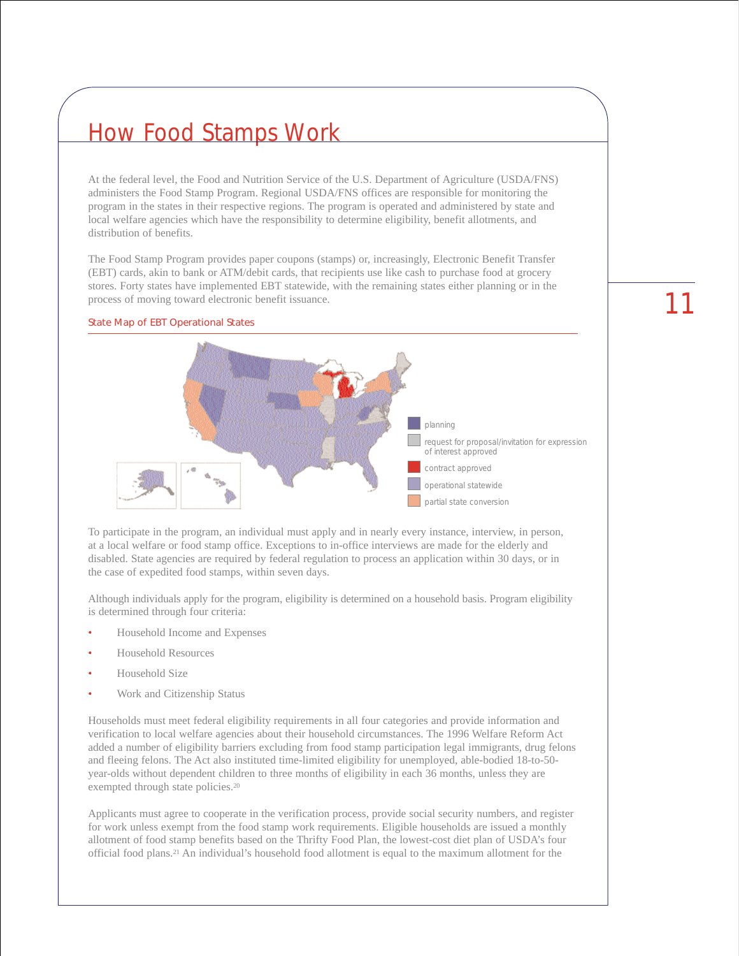### How Food Stamps Work

At the federal level, the Food and Nutrition Service of the U.S. Department of Agriculture (USDA/FNS) administers the Food Stamp Program. Regional USDA/FNS offices are responsible for monitoring the program in the states in their respective regions. The program is operated and administered by state and local welfare agencies which have the responsibility to determine eligibility, benefit allotments, and distribution of benefits.

The Food Stamp Program provides paper coupons (stamps) or, increasingly, Electronic Benefit Transfer (EBT) cards, akin to bank or ATM/debit cards, that recipients use like cash to purchase food at grocery stores. Forty states have implemented EBT statewide, with the remaining states either planning or in the process of moving toward electronic benefit issuance.

#### State Map of EBT Operational States



To participate in the program, an individual must apply and in nearly every instance, interview, in person, at a local welfare or food stamp office. Exceptions to in-office interviews are made for the elderly and disabled. State agencies are required by federal regulation to process an application within 30 days, or in the case of expedited food stamps, within seven days.

Although individuals apply for the program, eligibility is determined on a household basis. Program eligibility is determined through four criteria:

- Household Income and Expenses
- Household Resources
- Household Size
- Work and Citizenship Status

Households must meet federal eligibility requirements in all four categories and provide information and verification to local welfare agencies about their household circumstances. The 1996 Welfare Reform Act added a number of eligibility barriers excluding from food stamp participation legal immigrants, drug felons and fleeing felons. The Act also instituted time-limited eligibility for unemployed, able-bodied 18-to-50 year-olds without dependent children to three months of eligibility in each 36 months, unless they are exempted through state policies.<sup>20</sup>

Applicants must agree to cooperate in the verification process, provide social security numbers, and register for work unless exempt from the food stamp work requirements. Eligible households are issued a monthly allotment of food stamp benefits based on the Thrifty Food Plan, the lowest-cost diet plan of USDA's four official food plans.21 An individual's household food allotment is equal to the maximum allotment for the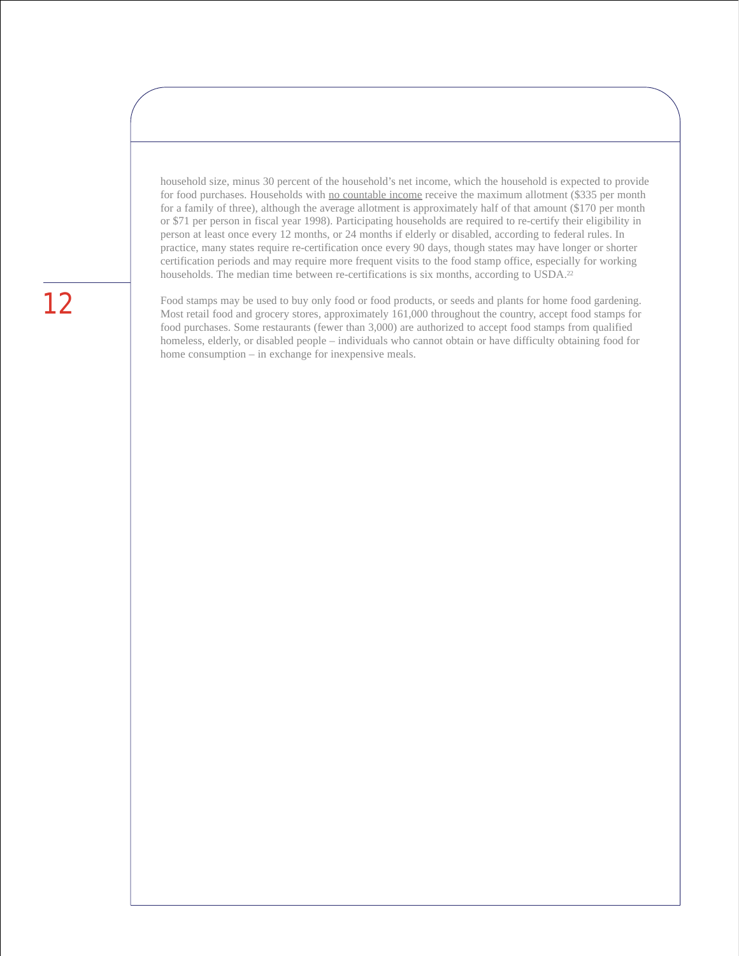household size, minus 30 percent of the household's net income, which the household is expected to provide for food purchases. Households with no countable income receive the maximum allotment (\$335 per month for a family of three), although the average allotment is approximately half of that amount (\$170 per month or \$71 per person in fiscal year 1998). Participating households are required to re-certify their eligibility in person at least once every 12 months, or 24 months if elderly or disabled, according to federal rules. In practice, many states require re-certification once every 90 days, though states may have longer or shorter certification periods and may require more frequent visits to the food stamp office, especially for working households. The median time between re-certifications is six months, according to USDA.<sup>22</sup>

Food stamps may be used to buy only food or food products, or seeds and plants for home food gardening. Most retail food and grocery stores, approximately 161,000 throughout the country, accept food stamps for food purchases. Some restaurants (fewer than 3,000) are authorized to accept food stamps from qualified homeless, elderly, or disabled people – individuals who cannot obtain or have difficulty obtaining food for home consumption – in exchange for inexpensive meals.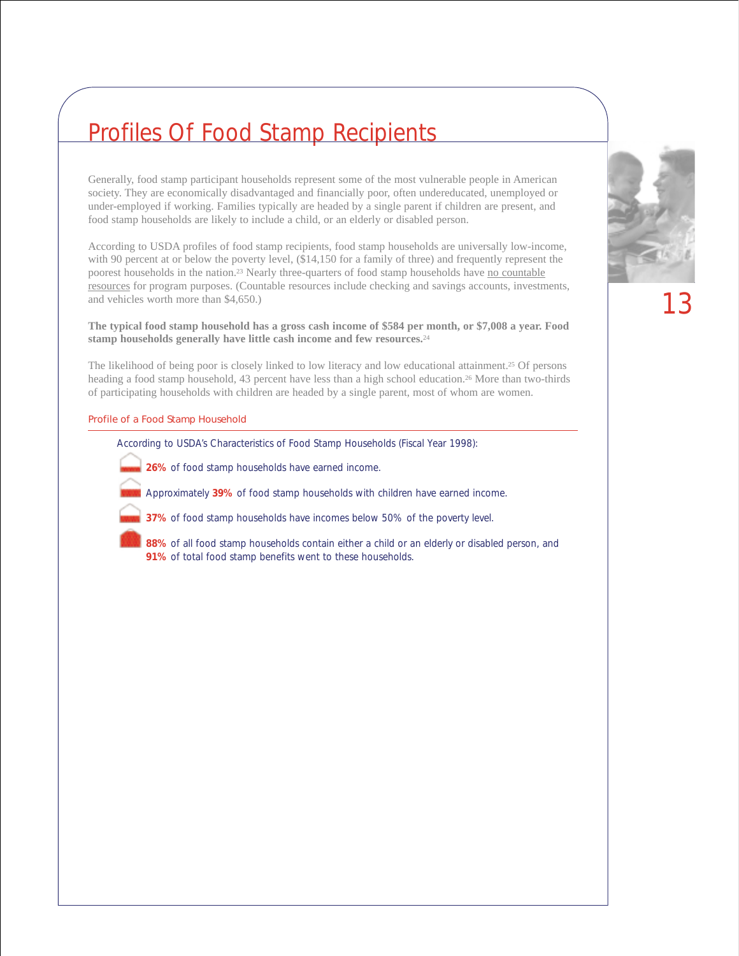### Profiles Of Food Stamp Recipients

Generally, food stamp participant households represent some of the most vulnerable people in American society. They are economically disadvantaged and financially poor, often undereducated, unemployed or under-employed if working. Families typically are headed by a single parent if children are present, and food stamp households are likely to include a child, or an elderly or disabled person.

According to USDA profiles of food stamp recipients, food stamp households are universally low-income, with 90 percent at or below the poverty level, (\$14,150 for a family of three) and frequently represent the poorest households in the nation.<sup>23</sup> Nearly three-quarters of food stamp households have no countable resources for program purposes. (Countable resources include checking and savings accounts, investments, and vehicles worth more than \$4,650.)

#### **The typical food stamp household has a gross cash income of \$584 per month, or \$7,008 a year. Food stamp households generally have little cash income and few resources.**<sup>24</sup>

The likelihood of being poor is closely linked to low literacy and low educational attainment.25 Of persons heading a food stamp household, 43 percent have less than a high school education.26 More than two-thirds of participating households with children are headed by a single parent, most of whom are women.

#### Profile of a Food Stamp Household

According to USDA's Characteristics of Food Stamp Households (Fiscal Year 1998):

- **26%** of food stamp households have earned income.
	- Approximately **39%** of food stamp households with children have earned income.



- **37%** of food stamp households have incomes below 50% of the poverty level.
- **88%** of all food stamp households contain either a child or an elderly or disabled person, and **91%** of total food stamp benefits went to these households.

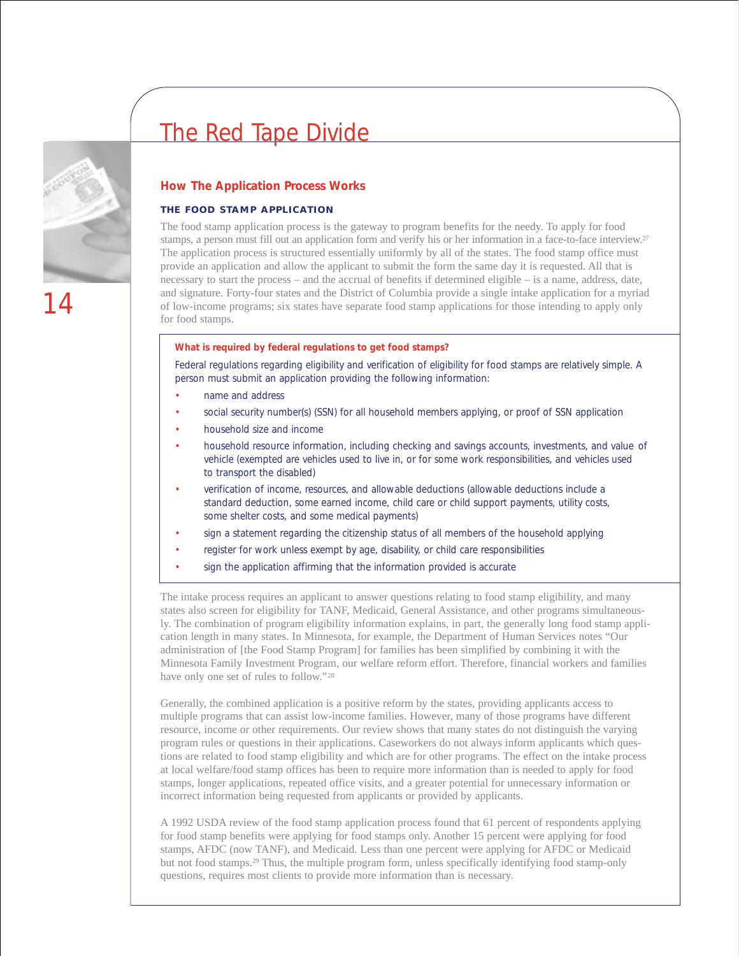### The Red Tape Divide



#### **How The Application Process Works**

#### **THE FOOD STAMP APPLICATION**

The food stamp application process is the gateway to program benefits for the needy. To apply for food stamps, a person must fill out an application form and verify his or her information in a face-to-face interview.27 The application process is structured essentially uniformly by all of the states. The food stamp office must provide an application and allow the applicant to submit the form the same day it is requested. All that is necessary to start the process – and the accrual of benefits if determined eligible – is a name, address, date, and signature. Forty-four states and the District of Columbia provide a single intake application for a myriad of low-income programs; six states have separate food stamp applications for those intending to apply only for food stamps.

#### **What is required by federal regulations to get food stamps?**

Federal regulations regarding eligibility and verification of eligibility for food stamps are relatively simple. A person must submit an application providing the following information:

- name and address
- social security number(s) (SSN) for all household members applying, or proof of SSN application
- household size and income
- household resource information, including checking and savings accounts, investments, and value of vehicle (exempted are vehicles used to live in, or for some work responsibilities, and vehicles used to transport the disabled)
- verification of income, resources, and allowable deductions (allowable deductions include a standard deduction, some earned income, child care or child support payments, utility costs, some shelter costs, and some medical payments)
- sign a statement regarding the citizenship status of all members of the household applying
- register for work unless exempt by age, disability, or child care responsibilities
- sign the application affirming that the information provided is accurate

The intake process requires an applicant to answer questions relating to food stamp eligibility, and many states also screen for eligibility for TANF, Medicaid, General Assistance, and other programs simultaneously. The combination of program eligibility information explains, in part, the generally long food stamp application length in many states. In Minnesota, for example, the Department of Human Services notes "Our administration of [the Food Stamp Program] for families has been simplified by combining it with the Minnesota Family Investment Program, our welfare reform effort. Therefore, financial workers and families have only one set of rules to follow."28

Generally, the combined application is a positive reform by the states, providing applicants access to multiple programs that can assist low-income families. However, many of those programs have different resource, income or other requirements. Our review shows that many states do not distinguish the varying program rules or questions in their applications. Caseworkers do not always inform applicants which questions are related to food stamp eligibility and which are for other programs. The effect on the intake process at local welfare/food stamp offices has been to require more information than is needed to apply for food stamps, longer applications, repeated office visits, and a greater potential for unnecessary information or incorrect information being requested from applicants or provided by applicants.

A 1992 USDA review of the food stamp application process found that 61 percent of respondents applying for food stamp benefits were applying for food stamps only. Another 15 percent were applying for food stamps, AFDC (now TANF), and Medicaid. Less than one percent were applying for AFDC or Medicaid but not food stamps.29 Thus, the multiple program form, unless specifically identifying food stamp-only questions, requires most clients to provide more information than is necessary.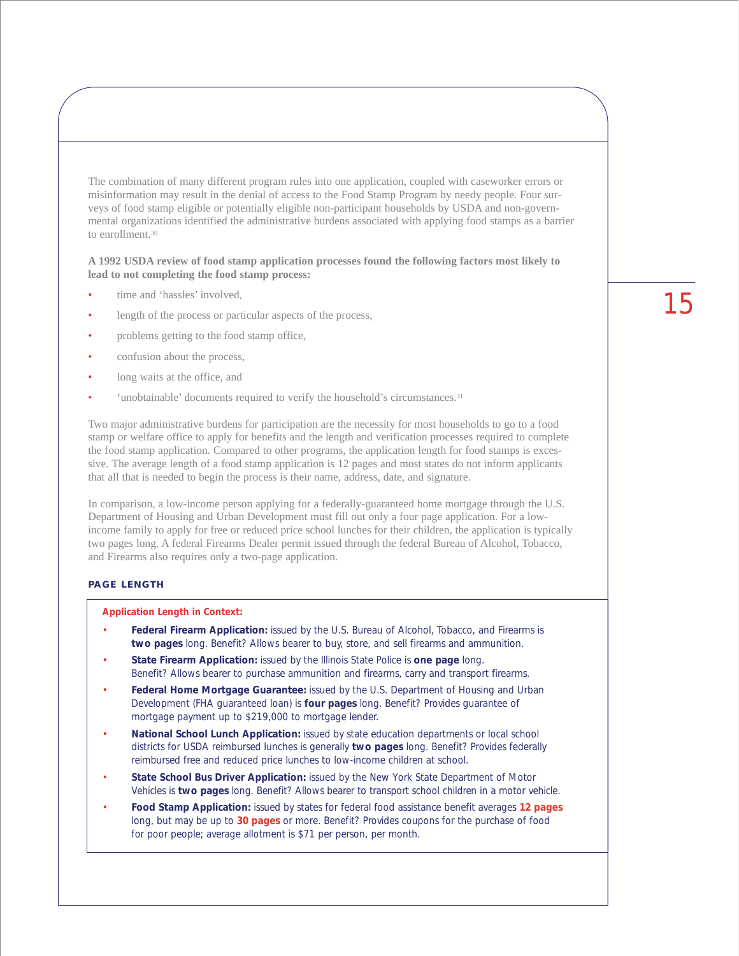The combination of many different program rules into one application, coupled with caseworker errors or misinformation may result in the denial of access to the Food Stamp Program by needy people. Four surveys of food stamp eligible or potentially eligible non-participant households by USDA and non-governmental organizations identified the administrative burdens associated with applying food stamps as a barrier to enrollment.30

**A 1992 USDA review of food stamp application processes found the following factors most likely to lead to not completing the food stamp process:**

- time and 'hassles' involved,
- length of the process or particular aspects of the process,
- problems getting to the food stamp office,
- confusion about the process,
- long waits at the office, and
- 'unobtainable' documents required to verify the household's circumstances.<sup>31</sup>

Two major administrative burdens for participation are the necessity for most households to go to a food stamp or welfare office to apply for benefits and the length and verification processes required to complete the food stamp application. Compared to other programs, the application length for food stamps is excessive. The average length of a food stamp application is 12 pages and most states do not inform applicants that all that is needed to begin the process is their name, address, date, and signature.

In comparison, a low-income person applying for a federally-guaranteed home mortgage through the U.S. Department of Housing and Urban Development must fill out only a four page application. For a lowincome family to apply for free or reduced price school lunches for their children, the application is typically two pages long. A federal Firearms Dealer permit issued through the federal Bureau of Alcohol, Tobacco, and Firearms also requires only a two-page application.

#### **PAGE LENGTH**

#### **Application Length in Context:**

- **Federal Firearm Application:** issued by the U.S. Bureau of Alcohol, Tobacco, and Firearms is *two pages* long. *Benefit?* Allows bearer to buy, store, and sell firearms and ammunition.
- **State Firearm Application:** issued by the Illinois State Police is *one page* long. *Benefit?* Allows bearer to purchase ammunition and firearms, carry and transport firearms.
- **Federal Home Mortgage Guarantee:** issued by the U.S. Department of Housing and Urban Development (FHA guaranteed loan) is *four pages* long. *Benefit?* Provides guarantee of mortgage payment up to \$219,000 to mortgage lender.
- **National School Lunch Application:** issued by state education departments or local school districts for USDA reimbursed lunches is generally *two pages* long. *Benefit?* Provides federally reimbursed free and reduced price lunches to low-income children at school.
- **State School Bus Driver Application:** issued by the New York State Department of Motor Vehicles is *two pages* long. *Benefit?* Allows bearer to transport school children in a motor vehicle.
- **Food Stamp Application:** issued by states for federal food assistance benefit averages **12 pages** long, but may be up to **30 pages** or more. *Benefit?* Provides coupons for the purchase of food for poor people; average allotment is \$71 per person, per month.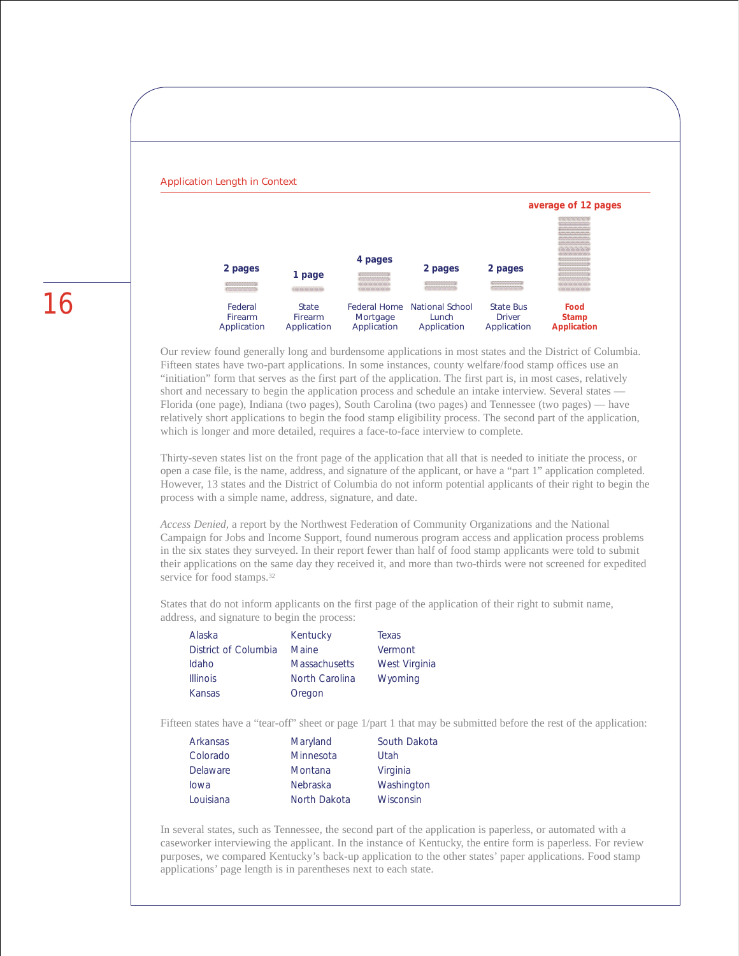

Our review found generally long and burdensome applications in most states and the District of Columbia. Fifteen states have two-part applications. In some instances, county welfare/food stamp offices use an "initiation" form that serves as the first part of the application. The first part is, in most cases, relatively short and necessary to begin the application process and schedule an intake interview. Several states — Florida (one page), Indiana (two pages), South Carolina (two pages) and Tennessee (two pages) — have relatively short applications to begin the food stamp eligibility process. The second part of the application, which is longer and more detailed, requires a face-to-face interview to complete.

Thirty-seven states list on the front page of the application that all that is needed to initiate the process, or open a case file, is the name, address, and signature of the applicant, or have a "part 1" application completed. However, 13 states and the District of Columbia do not inform potential applicants of their right to begin the process with a simple name, address, signature, and date.

*Access Denied,* a report by the Northwest Federation of Community Organizations and the National Campaign for Jobs and Income Support, found numerous program access and application process problems in the six states they surveyed. In their report fewer than half of food stamp applicants were told to submit their applications on the same day they received it, and more than two-thirds were not screened for expedited service for food stamps.<sup>32</sup>

States that do not inform applicants on the first page of the application of their right to submit name, address, and signature to begin the process:

| Alaska               | Kentucky             | Texas         |
|----------------------|----------------------|---------------|
| District of Columbia | <b>Maine</b>         | Vermont       |
| Idaho                | <b>Massachusetts</b> | West Virginia |
| <b>Illinois</b>      | North Carolina       | Wyoming       |
| Kansas               | Oregon               |               |
|                      |                      |               |

Fifteen states have a "tear-off" sheet or page 1/part 1 that may be submitted before the rest of the application:

| Arkansas        | Maryland     | South Dakota |
|-----------------|--------------|--------------|
| Colorado        | Minnesota    | Utah         |
| <b>Delaware</b> | Montana      | Virginia     |
| lowa            | Nebraska     | Washington   |
| Louisiana       | North Dakota | Wisconsin    |
|                 |              |              |

In several states, such as Tennessee, the second part of the application is paperless, or automated with a caseworker interviewing the applicant. In the instance of Kentucky, the entire form is paperless. For review purposes, we compared Kentucky's back-up application to the other states' paper applications. Food stamp applications' page length is in parentheses next to each state.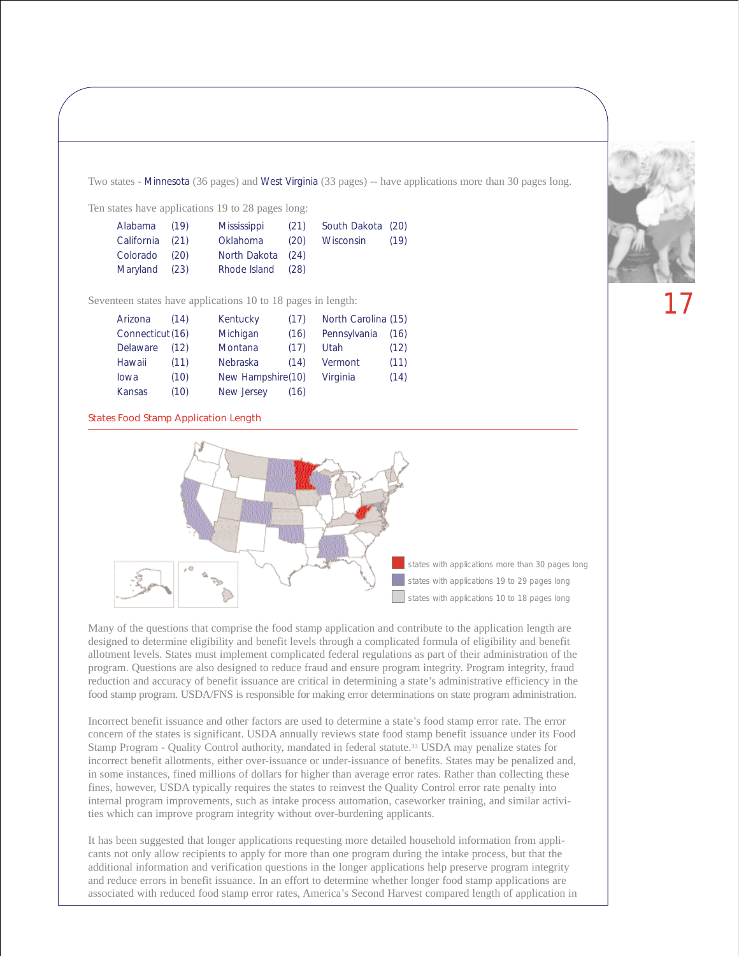Two states - Minnesota (36 pages) and West Virginia (33 pages) -- have applications more than 30 pages long.

Ten states have applications 19 to 28 pages long:

| Alabama (19)    | Mississippi       |      | (21) South Dakota (20) |      |
|-----------------|-------------------|------|------------------------|------|
| California (21) | Oklahoma          | (20) | Wisconsin              | (19) |
| Colorado (20)   | North Dakota (24) |      |                        |      |
| Maryland (23)   | Rhode Island (28) |      |                        |      |
|                 |                   |      |                        |      |

Seventeen states have applications 10 to 18 pages in length:

| Arizona          | (14) | Kentucky          | (17) | North Carolina (15) |      |
|------------------|------|-------------------|------|---------------------|------|
| Connecticut (16) |      | Michigan          | (16) | Pennsylvania        | (16) |
| Delaware         | (12) | Montana           | (17) | Utah                | (12) |
| Hawaii           | (11) | <b>Nebraska</b>   | (14) | Vermont             | (11) |
| lowa             | (10) | New Hampshire(10) |      | Virginia            | (14) |
| Kansas           | (10) | New Jersey        | (16) |                     |      |

#### States Food Stamp Application Length



Many of the questions that comprise the food stamp application and contribute to the application length are designed to determine eligibility and benefit levels through a complicated formula of eligibility and benefit allotment levels. States must implement complicated federal regulations as part of their administration of the program. Questions are also designed to reduce fraud and ensure program integrity. Program integrity, fraud reduction and accuracy of benefit issuance are critical in determining a state's administrative efficiency in the food stamp program. USDA/FNS is responsible for making error determinations on state program administration.

Incorrect benefit issuance and other factors are used to determine a state's food stamp error rate. The error concern of the states is significant. USDA annually reviews state food stamp benefit issuance under its Food Stamp Program - Quality Control authority, mandated in federal statute.33 USDA may penalize states for incorrect benefit allotments, either over-issuance or under-issuance of benefits. States may be penalized and, in some instances, fined millions of dollars for higher than average error rates. Rather than collecting these fines, however, USDA typically requires the states to reinvest the Quality Control error rate penalty into internal program improvements, such as intake process automation, caseworker training, and similar activities which can improve program integrity without over-burdening applicants.

It has been suggested that longer applications requesting more detailed household information from applicants not only allow recipients to apply for more than one program during the intake process, but that the additional information and verification questions in the longer applications help preserve program integrity and reduce errors in benefit issuance. In an effort to determine whether longer food stamp applications are associated with reduced food stamp error rates, America's Second Harvest compared length of application in

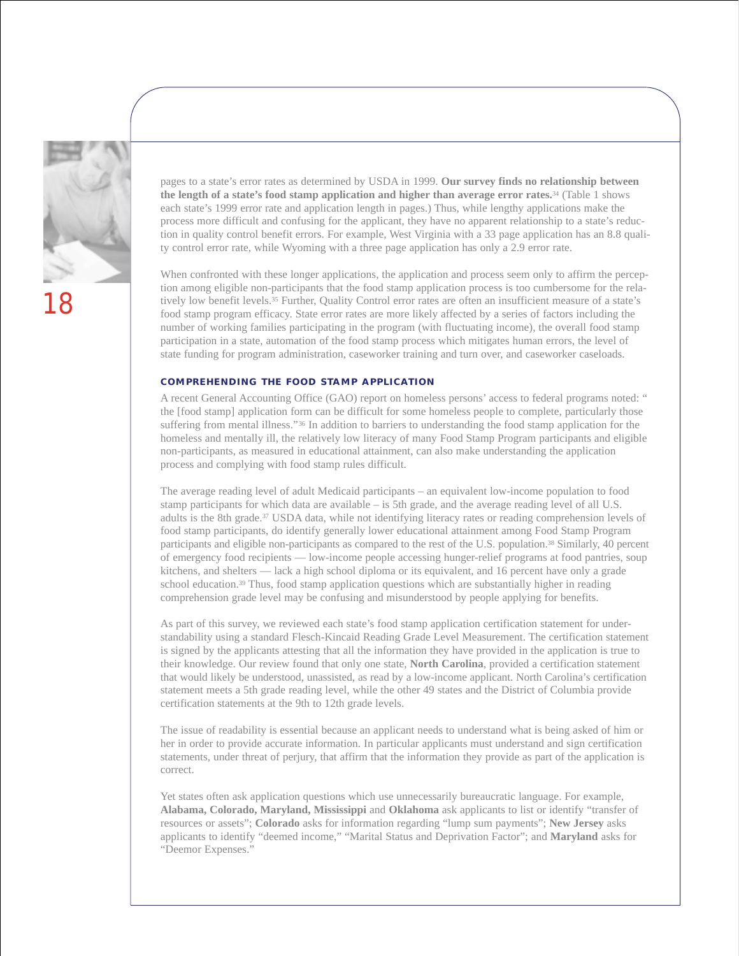

pages to a state's error rates as determined by USDA in 1999. **Our survey finds no relationship between the length of a state's food stamp application and higher than average error rates.**<sup>34</sup> (Table 1 shows each state's 1999 error rate and application length in pages.) Thus, while lengthy applications make the process more difficult and confusing for the applicant, they have no apparent relationship to a state's reduction in quality control benefit errors. For example, West Virginia with a 33 page application has an 8.8 quality control error rate, while Wyoming with a three page application has only a 2.9 error rate.

When confronted with these longer applications, the application and process seem only to affirm the perception among eligible non-participants that the food stamp application process is too cumbersome for the relatively low benefit levels.<sup>35</sup> Further, Quality Control error rates are often an insufficient measure of a state's food stamp program efficacy. State error rates are more likely affected by a series of factors including the number of working families participating in the program (with fluctuating income), the overall food stamp participation in a state, automation of the food stamp process which mitigates human errors, the level of state funding for program administration, caseworker training and turn over, and caseworker caseloads.

#### **COMPREHENDING THE FOOD STAMP APPLICATION**

A recent General Accounting Office (GAO) report on homeless persons' access to federal programs noted: " the [food stamp] application form can be difficult for some homeless people to complete, particularly those suffering from mental illness."36 In addition to barriers to understanding the food stamp application for the homeless and mentally ill, the relatively low literacy of many Food Stamp Program participants and eligible non-participants, as measured in educational attainment, can also make understanding the application process and complying with food stamp rules difficult.

The average reading level of adult Medicaid participants – an equivalent low-income population to food stamp participants for which data are available – is 5th grade, and the average reading level of all U.S. adults is the 8th grade.37 USDA data, while not identifying literacy rates or reading comprehension levels of food stamp participants, do identify generally lower educational attainment among Food Stamp Program participants and eligible non-participants as compared to the rest of the U.S. population.38 Similarly, 40 percent of emergency food recipients — low-income people accessing hunger-relief programs at food pantries, soup kitchens, and shelters — lack a high school diploma or its equivalent, and 16 percent have only a grade school education.<sup>39</sup> Thus, food stamp application questions which are substantially higher in reading comprehension grade level may be confusing and misunderstood by people applying for benefits.

As part of this survey, we reviewed each state's food stamp application certification statement for understandability using a standard Flesch-Kincaid Reading Grade Level Measurement. The certification statement is signed by the applicants attesting that all the information they have provided in the application is true to their knowledge. Our review found that only one state, **North Carolina**, provided a certification statement that would likely be understood, unassisted, as read by a low-income applicant. North Carolina's certification statement meets a 5th grade reading level, while the other 49 states and the District of Columbia provide certification statements at the 9th to 12th grade levels.

The issue of readability is essential because an applicant needs to understand what is being asked of him or her in order to provide accurate information. In particular applicants must understand and sign certification statements, under threat of perjury, that affirm that the information they provide as part of the application is correct.

Yet states often ask application questions which use unnecessarily bureaucratic language. For example, **Alabama, Colorado, Maryland, Mississippi** and **Oklahoma** ask applicants to list or identify "transfer of resources or assets"; **Colorado** asks for information regarding "lump sum payments"; **New Jersey** asks applicants to identify "deemed income," "Marital Status and Deprivation Factor"; and **Maryland** asks for "Deemor Expenses."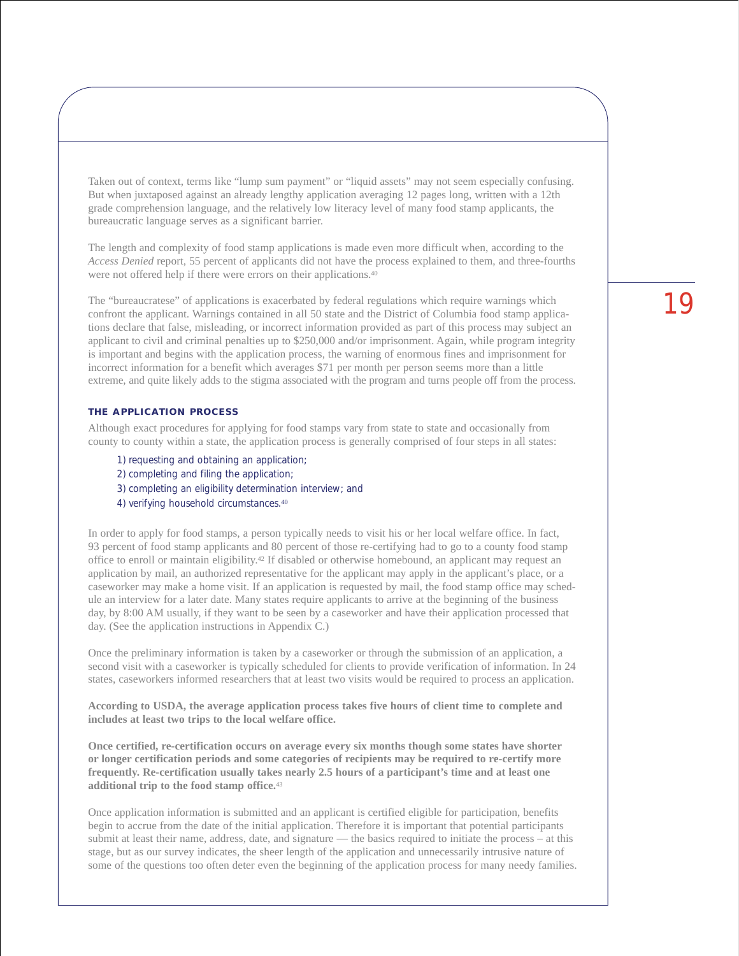Taken out of context, terms like "lump sum payment" or "liquid assets" may not seem especially confusing. But when juxtaposed against an already lengthy application averaging 12 pages long, written with a 12th grade comprehension language, and the relatively low literacy level of many food stamp applicants, the bureaucratic language serves as a significant barrier.

The length and complexity of food stamp applications is made even more difficult when, according to the *Access Denied* report, 55 percent of applicants did not have the process explained to them, and three-fourths were not offered help if there were errors on their applications.40

The "bureaucratese" of applications is exacerbated by federal regulations which require warnings which confront the applicant. Warnings contained in all 50 state and the District of Columbia food stamp applications declare that false, misleading, or incorrect information provided as part of this process may subject an applicant to civil and criminal penalties up to \$250,000 and/or imprisonment. Again, while program integrity is important and begins with the application process, the warning of enormous fines and imprisonment for incorrect information for a benefit which averages \$71 per month per person seems more than a little extreme, and quite likely adds to the stigma associated with the program and turns people off from the process.

#### **THE APPLICATION PROCESS**

Although exact procedures for applying for food stamps vary from state to state and occasionally from county to county within a state, the application process is generally comprised of four steps in all states:

- 1) requesting and obtaining an application;
- 2) completing and filing the application;
- 3) completing an eligibility determination interview; and
- 4) verifying household circumstances.<sup>40</sup>

In order to apply for food stamps, a person typically needs to visit his or her local welfare office. In fact, 93 percent of food stamp applicants and 80 percent of those re-certifying had to go to a county food stamp office to enroll or maintain eligibility.42 If disabled or otherwise homebound, an applicant may request an application by mail, an authorized representative for the applicant may apply in the applicant's place, or a caseworker may make a home visit. If an application is requested by mail, the food stamp office may schedule an interview for a later date. Many states require applicants to arrive at the beginning of the business day, by 8:00 AM usually, if they want to be seen by a caseworker and have their application processed that day. (See the application instructions in Appendix C.)

Once the preliminary information is taken by a caseworker or through the submission of an application, a second visit with a caseworker is typically scheduled for clients to provide verification of information. In 24 states, caseworkers informed researchers that at least two visits would be required to process an application.

**According to USDA, the average application process takes five hours of client time to complete and includes at least two trips to the local welfare office.**

**Once certified, re-certification occurs on average every six months though some states have shorter or longer certification periods and some categories of recipients may be required to re-certify more frequently. Re-certification usually takes nearly 2.5 hours of a participant's time and at least one additional trip to the food stamp office.**<sup>43</sup>

Once application information is submitted and an applicant is certified eligible for participation, benefits begin to accrue from the date of the initial application. Therefore it is important that potential participants submit at least their name, address, date, and signature — the basics required to initiate the process – at this stage, but as our survey indicates, the sheer length of the application and unnecessarily intrusive nature of some of the questions too often deter even the beginning of the application process for many needy families.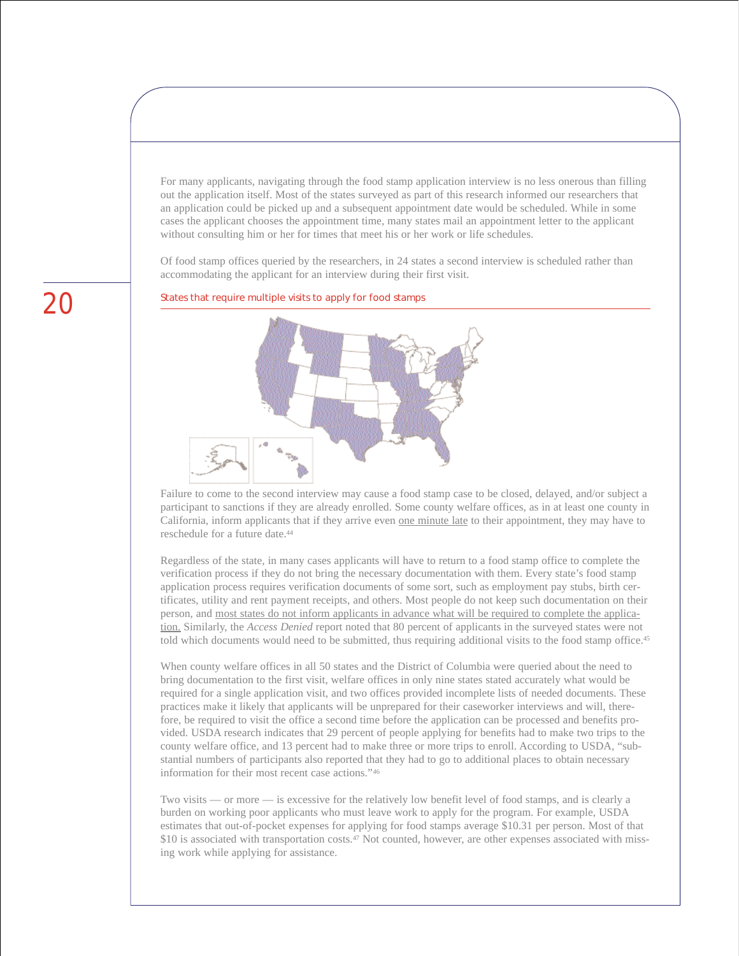For many applicants, navigating through the food stamp application interview is no less onerous than filling out the application itself. Most of the states surveyed as part of this research informed our researchers that an application could be picked up and a subsequent appointment date would be scheduled. While in some cases the applicant chooses the appointment time, many states mail an appointment letter to the applicant without consulting him or her for times that meet his or her work or life schedules.

Of food stamp offices queried by the researchers, in 24 states a second interview is scheduled rather than accommodating the applicant for an interview during their first visit.

States that require multiple visits to apply for food stamps



Failure to come to the second interview may cause a food stamp case to be closed, delayed, and/or subject a participant to sanctions if they are already enrolled. Some county welfare offices, as in at least one county in California, inform applicants that if they arrive even one minute late to their appointment, they may have to reschedule for a future date.<sup>44</sup>

Regardless of the state, in many cases applicants will have to return to a food stamp office to complete the verification process if they do not bring the necessary documentation with them. Every state's food stamp application process requires verification documents of some sort, such as employment pay stubs, birth certificates, utility and rent payment receipts, and others. Most people do not keep such documentation on their person, and most states do not inform applicants in advance what will be required to complete the application. Similarly, the *Access Denied* report noted that 80 percent of applicants in the surveyed states were not told which documents would need to be submitted, thus requiring additional visits to the food stamp office.45

When county welfare offices in all 50 states and the District of Columbia were queried about the need to bring documentation to the first visit, welfare offices in only nine states stated accurately what would be required for a single application visit, and two offices provided incomplete lists of needed documents. These practices make it likely that applicants will be unprepared for their caseworker interviews and will, therefore, be required to visit the office a second time before the application can be processed and benefits provided. USDA research indicates that 29 percent of people applying for benefits had to make two trips to the county welfare office, and 13 percent had to make three or more trips to enroll. According to USDA, "substantial numbers of participants also reported that they had to go to additional places to obtain necessary information for their most recent case actions."46

Two visits — or more — is excessive for the relatively low benefit level of food stamps, and is clearly a burden on working poor applicants who must leave work to apply for the program. For example, USDA estimates that out-of-pocket expenses for applying for food stamps average \$10.31 per person. Most of that \$10 is associated with transportation costs.<sup>47</sup> Not counted, however, are other expenses associated with missing work while applying for assistance.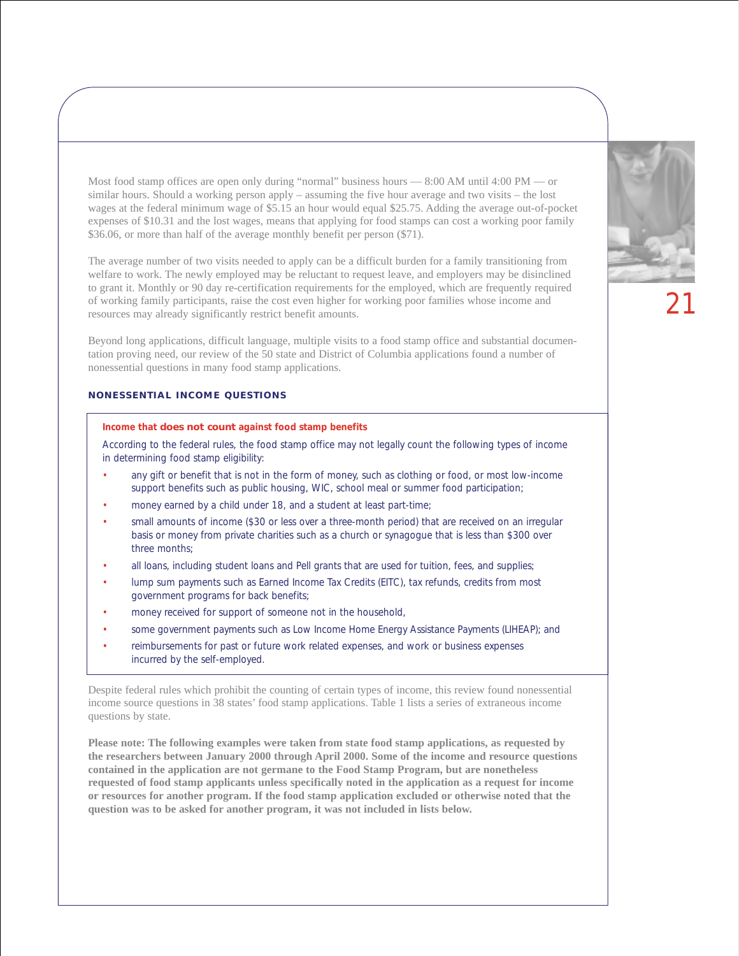Most food stamp offices are open only during "normal" business hours — 8:00 AM until 4:00 PM — or similar hours. Should a working person apply – assuming the five hour average and two visits – the lost wages at the federal minimum wage of \$5.15 an hour would equal \$25.75. Adding the average out-of-pocket expenses of \$10.31 and the lost wages, means that applying for food stamps can cost a working poor family \$36.06, or more than half of the average monthly benefit per person (\$71).

The average number of two visits needed to apply can be a difficult burden for a family transitioning from welfare to work. The newly employed may be reluctant to request leave, and employers may be disinclined to grant it. Monthly or 90 day re-certification requirements for the employed, which are frequently required of working family participants, raise the cost even higher for working poor families whose income and resources may already significantly restrict benefit amounts.

Beyond long applications, difficult language, multiple visits to a food stamp office and substantial documentation proving need, our review of the 50 state and District of Columbia applications found a number of nonessential questions in many food stamp applications.

#### **NONESSENTIAL INCOME QUESTIONS**

#### **Income that does not count against food stamp benefits**

According to the federal rules, the food stamp office may not legally count the following types of income in determining food stamp eligibility:

- any gift or benefit that is not in the form of money, such as clothing or food, or most low-income support benefits such as public housing, WIC, school meal or summer food participation;
- money earned by a child under 18, and a student at least part-time;
- small amounts of income (\$30 or less over a three-month period) that are received on an irregular basis or money from private charities such as a church or synagogue that is less than \$300 over three months;
- all loans, including student loans and Pell grants that are used for tuition, fees, and supplies;
- lump sum payments such as Earned Income Tax Credits (EITC), tax refunds, credits from most government programs for back benefits;
- money received for support of someone not in the household,
- some government payments such as Low Income Home Energy Assistance Payments (LIHEAP); and
- reimbursements for past or future work related expenses, and work or business expenses incurred by the self-employed.

Despite federal rules which prohibit the counting of certain types of income, this review found nonessential income source questions in 38 states' food stamp applications. Table 1 lists a series of extraneous income questions by state.

**Please note: The following examples were taken from state food stamp applications, as requested by the researchers between January 2000 through April 2000. Some of the income and resource questions contained in the application are not germane to the Food Stamp Program, but are nonetheless requested of food stamp applicants unless specifically noted in the application as a request for income or resources for another program. If the food stamp application excluded or otherwise noted that the question was to be asked for another program, it was not included in lists below.**

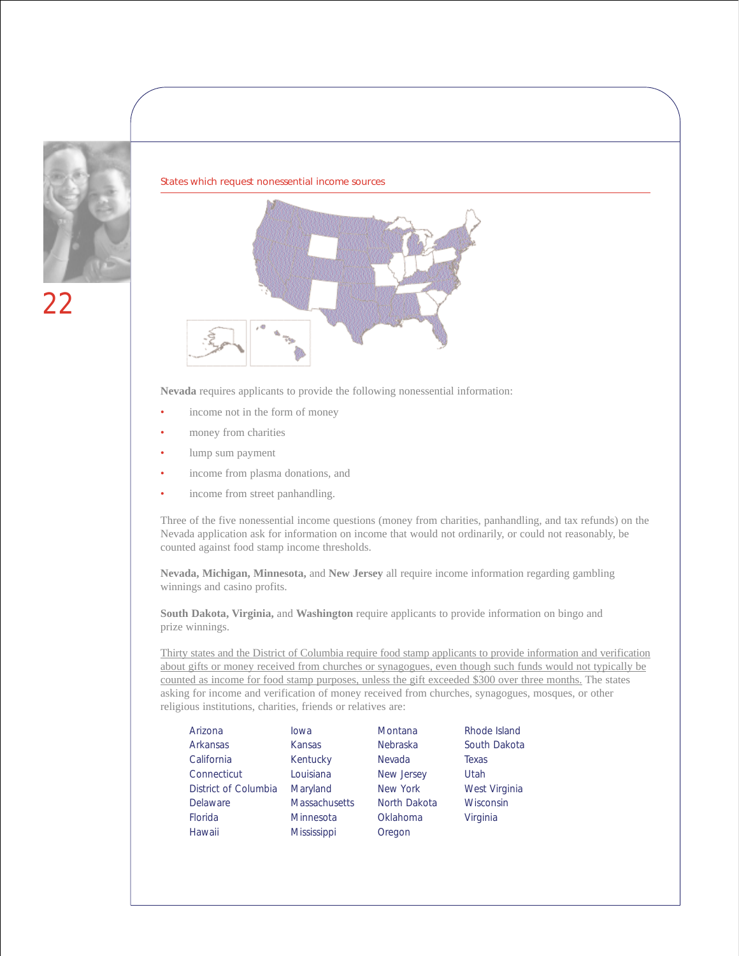

#### States which request nonessential income sources



**Nevada** requires applicants to provide the following nonessential information:

- income not in the form of money
- money from charities
- lump sum payment
- income from plasma donations, and
- income from street panhandling.

Three of the five nonessential income questions (money from charities, panhandling, and tax refunds) on the Nevada application ask for information on income that would not ordinarily, or could not reasonably, be counted against food stamp income thresholds.

**Nevada, Michigan, Minnesota,** and **New Jersey** all require income information regarding gambling winnings and casino profits.

**South Dakota, Virginia,** and **Washington** require applicants to provide information on bingo and prize winnings.

Thirty states and the District of Columbia require food stamp applicants to provide information and verification about gifts or money received from churches or synagogues, even though such funds would not typically be counted as income for food stamp purposes, unless the gift exceeded \$300 over three months. The states asking for income and verification of money received from churches, synagogues, mosques, or other religious institutions, charities, friends or relatives are:

| Arizona              | lowa                 | Montana      | Rhode Island  |
|----------------------|----------------------|--------------|---------------|
| Arkansas             | Kansas               | Nebraska     | South Dakota  |
| California           | Kentucky             | Nevada       | Texas         |
| Connecticut          | Louisiana            | New Jersey   | Utah          |
| District of Columbia | Maryland             | New York     | West Virginia |
| Delaware             | <b>Massachusetts</b> | North Dakota | Wisconsin     |
| Florida              | Minnesota            | Oklahoma     | Virginia      |
| Hawaii               | Mississippi          | Oregon       |               |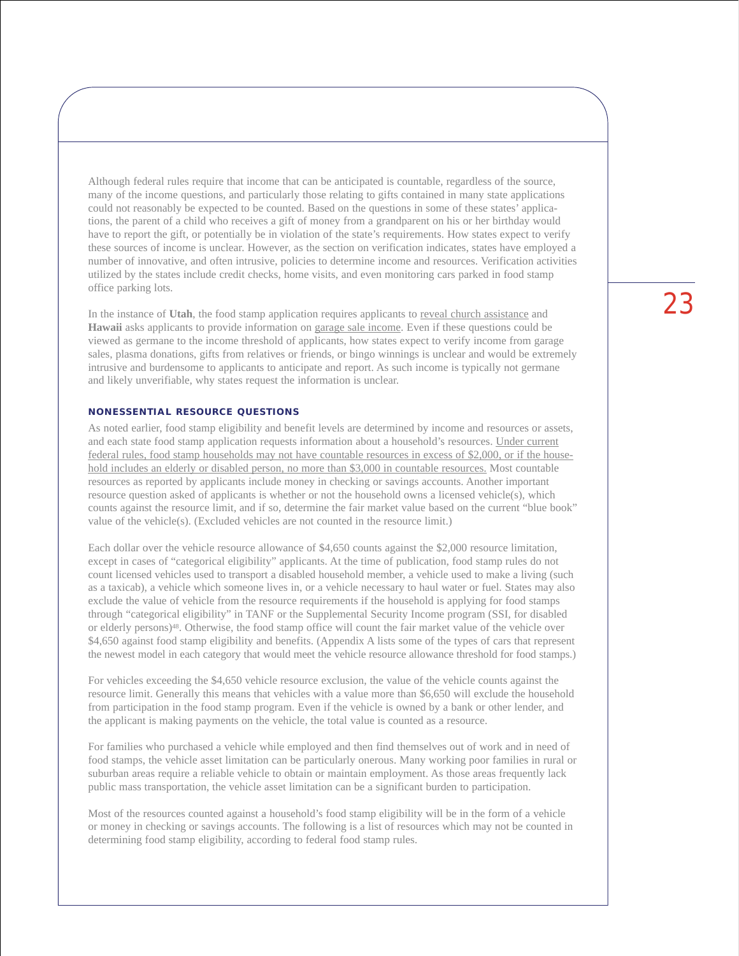Although federal rules require that income that can be anticipated is countable, regardless of the source, many of the income questions, and particularly those relating to gifts contained in many state applications could not reasonably be expected to be counted. Based on the questions in some of these states' applications, the parent of a child who receives a gift of money from a grandparent on his or her birthday would have to report the gift, or potentially be in violation of the state's requirements. How states expect to verify these sources of income is unclear. However, as the section on verification indicates, states have employed a number of innovative, and often intrusive, policies to determine income and resources. Verification activities utilized by the states include credit checks, home visits, and even monitoring cars parked in food stamp office parking lots.

In the instance of **Utah**, the food stamp application requires applicants to reveal church assistance and **Hawaii** asks applicants to provide information on garage sale income. Even if these questions could be viewed as germane to the income threshold of applicants, how states expect to verify income from garage sales, plasma donations, gifts from relatives or friends, or bingo winnings is unclear and would be extremely intrusive and burdensome to applicants to anticipate and report. As such income is typically not germane and likely unverifiable, why states request the information is unclear.

#### **NONESSENTIAL RESOURCE QUESTIONS**

As noted earlier, food stamp eligibility and benefit levels are determined by income and resources or assets, and each state food stamp application requests information about a household's resources. Under current federal rules, food stamp households may not have countable resources in excess of \$2,000, or if the household includes an elderly or disabled person, no more than \$3,000 in countable resources. Most countable resources as reported by applicants include money in checking or savings accounts. Another important resource question asked of applicants is whether or not the household owns a licensed vehicle(s), which counts against the resource limit, and if so, determine the fair market value based on the current "blue book" value of the vehicle(s). (Excluded vehicles are not counted in the resource limit.)

Each dollar over the vehicle resource allowance of \$4,650 counts against the \$2,000 resource limitation, except in cases of "categorical eligibility" applicants. At the time of publication, food stamp rules do not count licensed vehicles used to transport a disabled household member, a vehicle used to make a living (such as a taxicab), a vehicle which someone lives in, or a vehicle necessary to haul water or fuel. States may also exclude the value of vehicle from the resource requirements if the household is applying for food stamps through "categorical eligibility" in TANF or the Supplemental Security Income program (SSI, for disabled or elderly persons)48. Otherwise, the food stamp office will count the fair market value of the vehicle over \$4,650 against food stamp eligibility and benefits. (Appendix A lists some of the types of cars that represent the newest model in each category that would meet the vehicle resource allowance threshold for food stamps.)

For vehicles exceeding the \$4,650 vehicle resource exclusion, the value of the vehicle counts against the resource limit. Generally this means that vehicles with a value more than \$6,650 will exclude the household from participation in the food stamp program. Even if the vehicle is owned by a bank or other lender, and the applicant is making payments on the vehicle, the total value is counted as a resource.

For families who purchased a vehicle while employed and then find themselves out of work and in need of food stamps, the vehicle asset limitation can be particularly onerous. Many working poor families in rural or suburban areas require a reliable vehicle to obtain or maintain employment. As those areas frequently lack public mass transportation, the vehicle asset limitation can be a significant burden to participation.

Most of the resources counted against a household's food stamp eligibility will be in the form of a vehicle or money in checking or savings accounts. The following is a list of resources which may not be counted in determining food stamp eligibility, according to federal food stamp rules.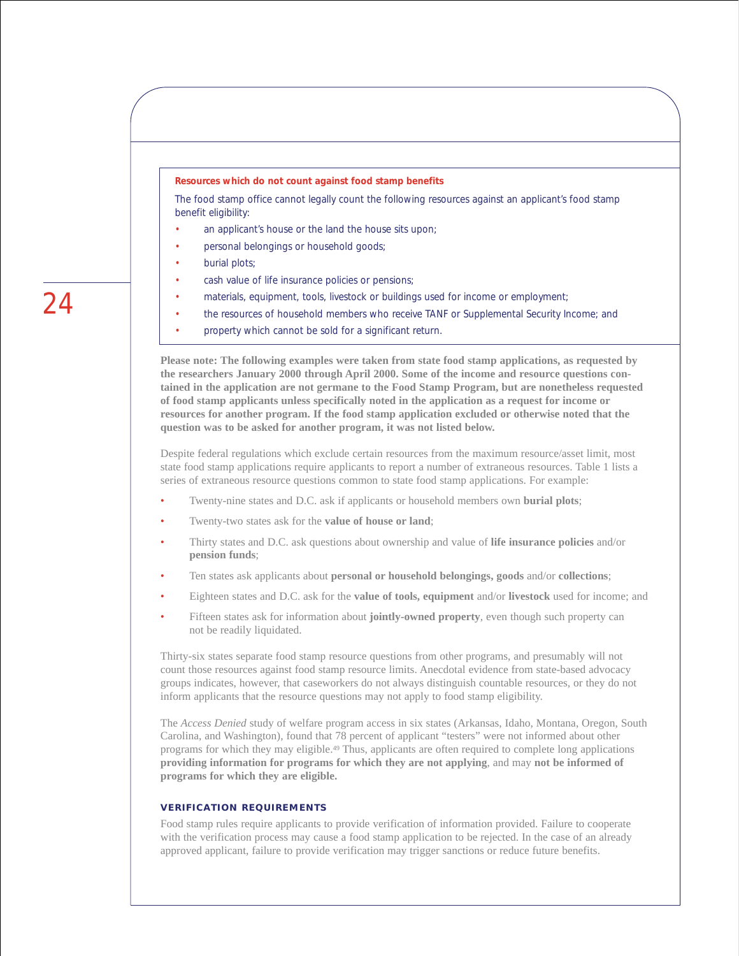#### **Resources which do not count against food stamp benefits**

The food stamp office cannot legally count the following resources against an applicant's food stamp benefit eligibility:

- an applicant's house or the land the house sits upon;
- personal belongings or household goods;
- burial plots;
- cash value of life insurance policies or pensions;
- materials, equipment, tools, livestock or buildings used for income or employment;
- the resources of household members who receive TANF or Supplemental Security Income; and
- property which cannot be sold for a significant return.

**Please note: The following examples were taken from state food stamp applications, as requested by the researchers January 2000 through April 2000. Some of the income and resource questions contained in the application are not germane to the Food Stamp Program, but are nonetheless requested of food stamp applicants unless specifically noted in the application as a request for income or resources for another program. If the food stamp application excluded or otherwise noted that the question was to be asked for another program, it was not listed below.**

Despite federal regulations which exclude certain resources from the maximum resource/asset limit, most state food stamp applications require applicants to report a number of extraneous resources. Table 1 lists a series of extraneous resource questions common to state food stamp applications. For example:

- Twenty-nine states and D.C. ask if applicants or household members own **burial plots**;
- Twenty-two states ask for the **value of house or land**;
- Thirty states and D.C. ask questions about ownership and value of **life insurance policies** and/or **pension funds**;
- Ten states ask applicants about **personal or household belongings, goods** and/or **collections**;
- Eighteen states and D.C. ask for the **value of tools, equipment** and/or **livestock** used for income; and
- Fifteen states ask for information about **jointly-owned property**, even though such property can not be readily liquidated.

Thirty-six states separate food stamp resource questions from other programs, and presumably will not count those resources against food stamp resource limits. Anecdotal evidence from state-based advocacy groups indicates, however, that caseworkers do not always distinguish countable resources, or they do not inform applicants that the resource questions may not apply to food stamp eligibility.

The *Access Denied* study of welfare program access in six states (Arkansas, Idaho, Montana, Oregon, South Carolina, and Washington), found that 78 percent of applicant "testers" were not informed about other programs for which they may eligible.49 Thus, applicants are often required to complete long applications **providing information for programs for which they are not applying**, and may **not be informed of programs for which they are eligible.**

#### **VERIFICATION REQUIREMENTS**

Food stamp rules require applicants to provide verification of information provided. Failure to cooperate with the verification process may cause a food stamp application to be rejected. In the case of an already approved applicant, failure to provide verification may trigger sanctions or reduce future benefits.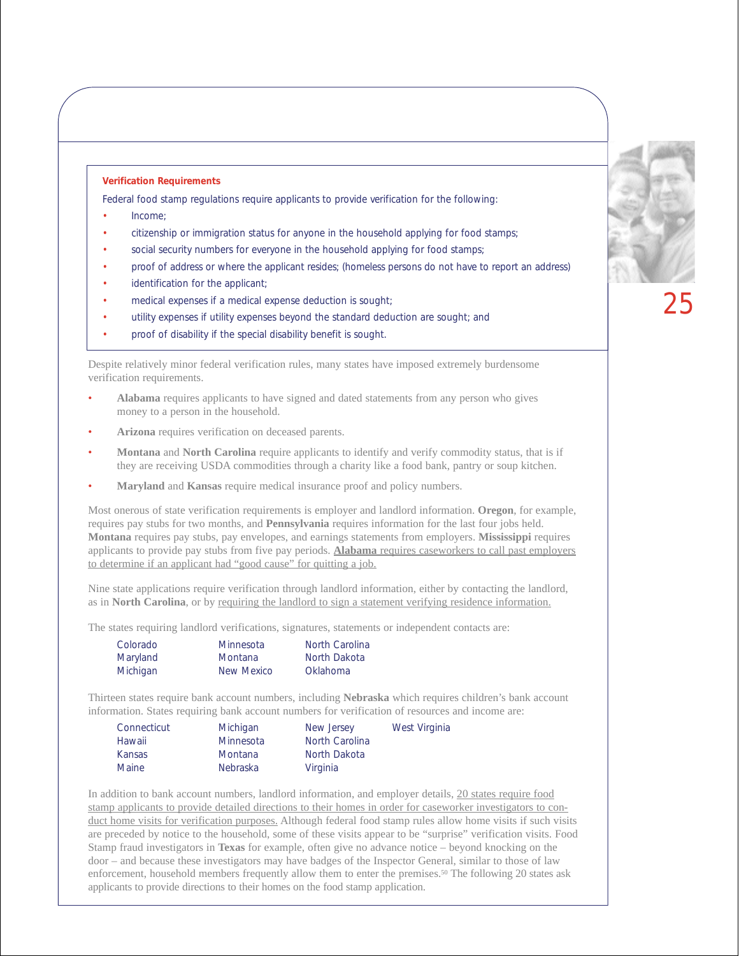#### **Verification Requirements**

Federal food stamp regulations require applicants to provide verification for the following:

- Income;
- citizenship or immigration status for anyone in the household applying for food stamps;
- social security numbers for everyone in the household applying for food stamps;
- proof of address or where the applicant resides; (homeless persons do not have to report an address)
- identification for the applicant;
- medical expenses if a medical expense deduction is sought;
- utility expenses if utility expenses beyond the standard deduction are sought; and
- proof of disability if the special disability benefit is sought.

Despite relatively minor federal verification rules, many states have imposed extremely burdensome verification requirements.

- **Alabama** requires applicants to have signed and dated statements from any person who gives money to a person in the household.
- **Arizona** requires verification on deceased parents.
- **Montana** and **North Carolina** require applicants to identify and verify commodity status, that is if they are receiving USDA commodities through a charity like a food bank, pantry or soup kitchen.
- **Maryland** and **Kansas** require medical insurance proof and policy numbers.

Most onerous of state verification requirements is employer and landlord information. **Oregon**, for example, requires pay stubs for two months, and **Pennsylvania** requires information for the last four jobs held. **Montana** requires pay stubs, pay envelopes, and earnings statements from employers. **Mississippi** requires applicants to provide pay stubs from five pay periods. **Alabama** requires caseworkers to call past employers to determine if an applicant had "good cause" for quitting a job.

Nine state applications require verification through landlord information, either by contacting the landlord, as in **North Carolina**, or by requiring the landlord to sign a statement verifying residence information.

The states requiring landlord verifications, signatures, statements or independent contacts are:

| Colorado | Minnesota      | North Carolina |
|----------|----------------|----------------|
| Maryland | <b>Montana</b> | North Dakota   |
| Michigan | New Mexico     | Oklahoma       |

Thirteen states require bank account numbers, including **Nebraska** which requires children's bank account information. States requiring bank account numbers for verification of resources and income are:

| Connecticut  | Michigan        | New Jersey     | West Virginia |
|--------------|-----------------|----------------|---------------|
| Hawaii       | Minnesota       | North Carolina |               |
| Kansas       | <b>Montana</b>  | North Dakota   |               |
| <b>Maine</b> | <b>Nebraska</b> | Virginia       |               |

In addition to bank account numbers, landlord information, and employer details, 20 states require food stamp applicants to provide detailed directions to their homes in order for caseworker investigators to conduct home visits for verification purposes. Although federal food stamp rules allow home visits if such visits are preceded by notice to the household, some of these visits appear to be "surprise" verification visits. Food Stamp fraud investigators in **Texas** for example, often give no advance notice – beyond knocking on the door – and because these investigators may have badges of the Inspector General, similar to those of law enforcement, household members frequently allow them to enter the premises.50 The following 20 states ask applicants to provide directions to their homes on the food stamp application.

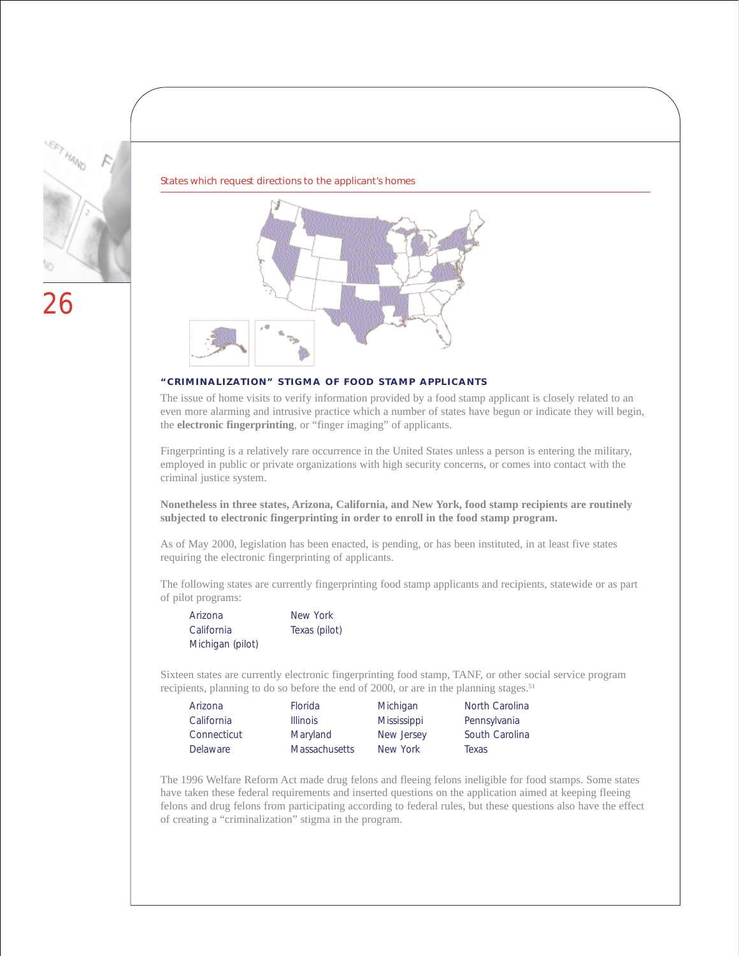

States which request directions to the applicant's homes



#### **"CRIMINALIZATION" STIGMA OF FOOD STAMP APPLICANTS**

The issue of home visits to verify information provided by a food stamp applicant is closely related to an even more alarming and intrusive practice which a number of states have begun or indicate they will begin, the **electronic fingerprinting**, or "finger imaging" of applicants.

Fingerprinting is a relatively rare occurrence in the United States unless a person is entering the military, employed in public or private organizations with high security concerns, or comes into contact with the criminal justice system.

**Nonetheless in three states, Arizona, California, and New York, food stamp recipients are routinely subjected to electronic fingerprinting in order to enroll in the food stamp program.**

As of May 2000, legislation has been enacted, is pending, or has been instituted, in at least five states requiring the electronic fingerprinting of applicants.

The following states are currently fingerprinting food stamp applicants and recipients, statewide or as part of pilot programs:

| Arizona          | New York      |
|------------------|---------------|
| California       | Texas (pilot) |
| Michigan (pilot) |               |

Sixteen states are currently electronic fingerprinting food stamp, TANF, or other social service program recipients, planning to do so before the end of 2000, or are in the planning stages.<sup>51</sup>

| Arizona     | <b>Florida</b>       | Michigan           | North Carolina |
|-------------|----------------------|--------------------|----------------|
| California  | <b>Illinois</b>      | <b>Mississippi</b> | Pennsylvania   |
| Connecticut | Maryland             | New Jersey         | South Carolina |
| Delaware    | <b>Massachusetts</b> | New York           | Texas          |

The 1996 Welfare Reform Act made drug felons and fleeing felons ineligible for food stamps. Some states have taken these federal requirements and inserted questions on the application aimed at keeping fleeing felons and drug felons from participating according to federal rules, but these questions also have the effect of creating a "criminalization" stigma in the program.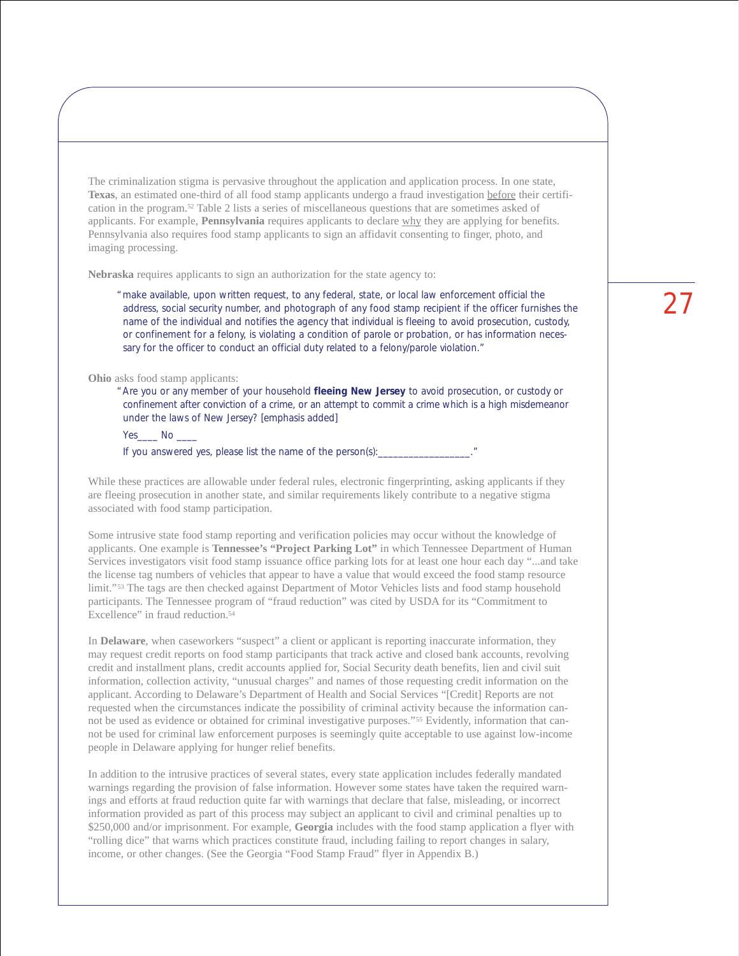The criminalization stigma is pervasive throughout the application and application process. In one state, **Texas**, an estimated one-third of all food stamp applicants undergo a fraud investigation before their certification in the program.52 Table 2 lists a series of miscellaneous questions that are sometimes asked of applicants. For example, **Pennsylvania** requires applicants to declare why they are applying for benefits. Pennsylvania also requires food stamp applicants to sign an affidavit consenting to finger, photo, and imaging processing.

**Nebraska** requires applicants to sign an authorization for the state agency to:

"make available, upon written request, to any federal, state, or local law enforcement official the address, social security number, and photograph of any food stamp recipient if the officer furnishes the name of the individual and notifies the agency that individual is fleeing to avoid prosecution, custody, or confinement for a felony, is violating a condition of parole or probation, or has information necessary for the officer to conduct an official duty related to a felony/parole violation."

**Ohio** asks food stamp applicants:

"Are you or any member of your household **fleeing New Jersey** to avoid prosecution, or custody or confinement after conviction of a crime, or an attempt to commit a crime which is a high misdemeanor under the laws of New Jersey? [emphasis added]

Yes No

If you answered yes, please list the name of the person(s): \_\_\_\_\_\_\_\_\_\_\_\_\_\_\_\_\_\_\_\_

While these practices are allowable under federal rules, electronic fingerprinting, asking applicants if they are fleeing prosecution in another state, and similar requirements likely contribute to a negative stigma associated with food stamp participation.

Some intrusive state food stamp reporting and verification policies may occur without the knowledge of applicants. One example is **Tennessee's "Project Parking Lot"** in which Tennessee Department of Human Services investigators visit food stamp issuance office parking lots for at least one hour each day "...and take the license tag numbers of vehicles that appear to have a value that would exceed the food stamp resource limit."53 The tags are then checked against Department of Motor Vehicles lists and food stamp household participants. The Tennessee program of "fraud reduction" was cited by USDA for its "Commitment to Excellence" in fraud reduction.<sup>54</sup>

In **Delaware**, when caseworkers "suspect" a client or applicant is reporting inaccurate information, they may request credit reports on food stamp participants that track active and closed bank accounts, revolving credit and installment plans, credit accounts applied for, Social Security death benefits, lien and civil suit information, collection activity, "unusual charges" and names of those requesting credit information on the applicant. According to Delaware's Department of Health and Social Services "[Credit] Reports are not requested when the circumstances indicate the possibility of criminal activity because the information cannot be used as evidence or obtained for criminal investigative purposes."55 Evidently, information that cannot be used for criminal law enforcement purposes is seemingly quite acceptable to use against low-income people in Delaware applying for hunger relief benefits.

In addition to the intrusive practices of several states, every state application includes federally mandated warnings regarding the provision of false information. However some states have taken the required warnings and efforts at fraud reduction quite far with warnings that declare that false, misleading, or incorrect information provided as part of this process may subject an applicant to civil and criminal penalties up to \$250,000 and/or imprisonment. For example, **Georgia** includes with the food stamp application a flyer with "rolling dice" that warns which practices constitute fraud, including failing to report changes in salary, income, or other changes. (See the Georgia "Food Stamp Fraud" flyer in Appendix B.)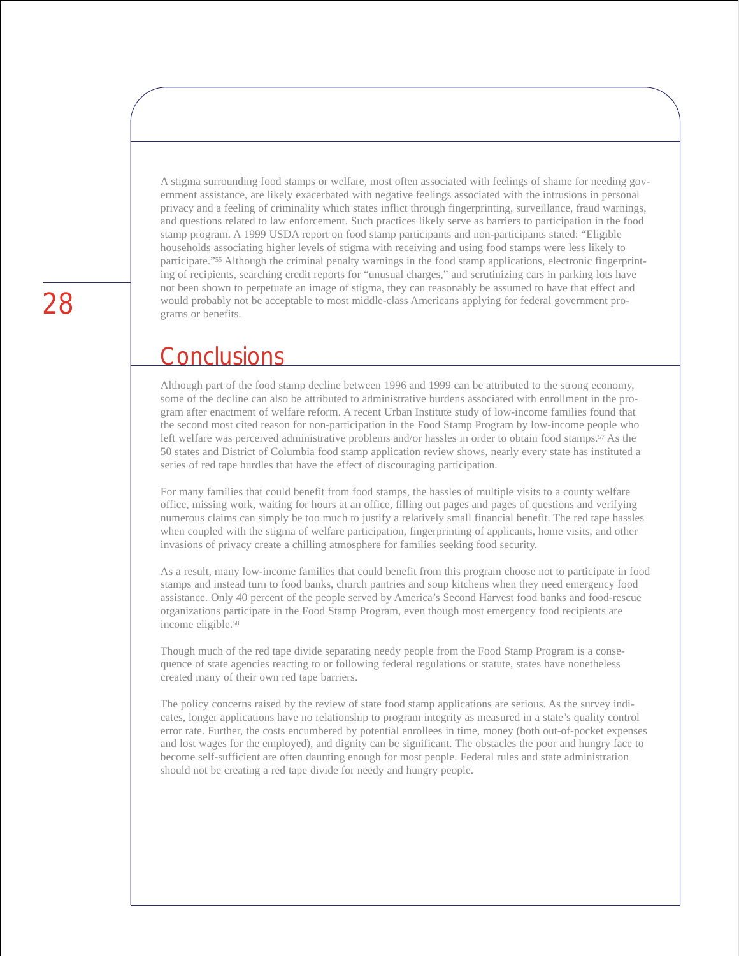A stigma surrounding food stamps or welfare, most often associated with feelings of shame for needing government assistance, are likely exacerbated with negative feelings associated with the intrusions in personal privacy and a feeling of criminality which states inflict through fingerprinting, surveillance, fraud warnings, and questions related to law enforcement. Such practices likely serve as barriers to participation in the food stamp program. A 1999 USDA report on food stamp participants and non-participants stated: "Eligible households associating higher levels of stigma with receiving and using food stamps were less likely to participate."55 Although the criminal penalty warnings in the food stamp applications, electronic fingerprinting of recipients, searching credit reports for "unusual charges," and scrutinizing cars in parking lots have not been shown to perpetuate an image of stigma, they can reasonably be assumed to have that effect and would probably not be acceptable to most middle-class Americans applying for federal government programs or benefits.

### **Conclusions**

Although part of the food stamp decline between 1996 and 1999 can be attributed to the strong economy, some of the decline can also be attributed to administrative burdens associated with enrollment in the program after enactment of welfare reform. A recent Urban Institute study of low-income families found that the second most cited reason for non-participation in the Food Stamp Program by low-income people who left welfare was perceived administrative problems and/or hassles in order to obtain food stamps.57 As the 50 states and District of Columbia food stamp application review shows, nearly every state has instituted a series of red tape hurdles that have the effect of discouraging participation.

For many families that could benefit from food stamps, the hassles of multiple visits to a county welfare office, missing work, waiting for hours at an office, filling out pages and pages of questions and verifying numerous claims can simply be too much to justify a relatively small financial benefit. The red tape hassles when coupled with the stigma of welfare participation, fingerprinting of applicants, home visits, and other invasions of privacy create a chilling atmosphere for families seeking food security.

As a result, many low-income families that could benefit from this program choose not to participate in food stamps and instead turn to food banks, church pantries and soup kitchens when they need emergency food assistance. Only 40 percent of the people served by America's Second Harvest food banks and food-rescue organizations participate in the Food Stamp Program, even though most emergency food recipients are income eligible.58

Though much of the red tape divide separating needy people from the Food Stamp Program is a consequence of state agencies reacting to or following federal regulations or statute, states have nonetheless created many of their own red tape barriers.

The policy concerns raised by the review of state food stamp applications are serious. As the survey indicates, longer applications have no relationship to program integrity as measured in a state's quality control error rate. Further, the costs encumbered by potential enrollees in time, money (both out-of-pocket expenses and lost wages for the employed), and dignity can be significant. The obstacles the poor and hungry face to become self-sufficient are often daunting enough for most people. Federal rules and state administration should not be creating a red tape divide for needy and hungry people.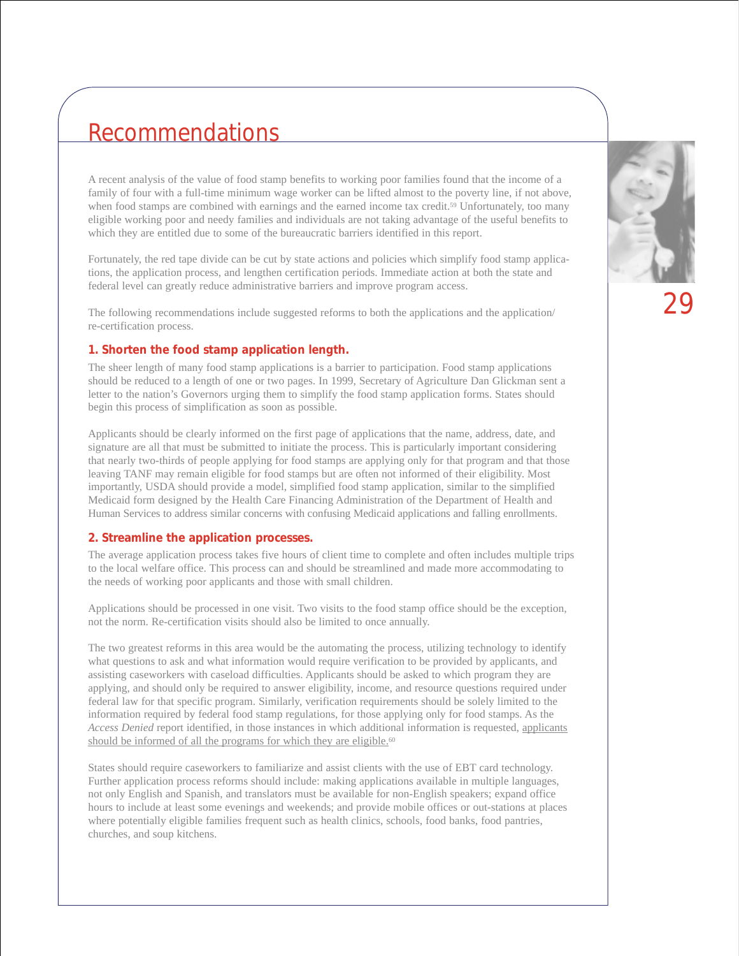### Recommendations

A recent analysis of the value of food stamp benefits to working poor families found that the income of a family of four with a full-time minimum wage worker can be lifted almost to the poverty line, if not above, when food stamps are combined with earnings and the earned income tax credit.<sup>59</sup> Unfortunately, too many eligible working poor and needy families and individuals are not taking advantage of the useful benefits to which they are entitled due to some of the bureaucratic barriers identified in this report.

Fortunately, the red tape divide can be cut by state actions and policies which simplify food stamp applications, the application process, and lengthen certification periods. Immediate action at both the state and federal level can greatly reduce administrative barriers and improve program access.

The following recommendations include suggested reforms to both the applications and the application/ re-certification process.

#### **1. Shorten the food stamp application length.**

The sheer length of many food stamp applications is a barrier to participation. Food stamp applications should be reduced to a length of one or two pages. In 1999, Secretary of Agriculture Dan Glickman sent a letter to the nation's Governors urging them to simplify the food stamp application forms. States should begin this process of simplification as soon as possible.

Applicants should be clearly informed on the first page of applications that the name, address, date, and signature are all that must be submitted to initiate the process. This is particularly important considering that nearly two-thirds of people applying for food stamps are applying only for that program and that those leaving TANF may remain eligible for food stamps but are often not informed of their eligibility. Most importantly, USDA should provide a model, simplified food stamp application, similar to the simplified Medicaid form designed by the Health Care Financing Administration of the Department of Health and Human Services to address similar concerns with confusing Medicaid applications and falling enrollments.

#### **2. Streamline the application processes.**

The average application process takes five hours of client time to complete and often includes multiple trips to the local welfare office. This process can and should be streamlined and made more accommodating to the needs of working poor applicants and those with small children.

Applications should be processed in one visit. Two visits to the food stamp office should be the exception, not the norm. Re-certification visits should also be limited to once annually.

The two greatest reforms in this area would be the automating the process, utilizing technology to identify what questions to ask and what information would require verification to be provided by applicants, and assisting caseworkers with caseload difficulties. Applicants should be asked to which program they are applying, and should only be required to answer eligibility, income, and resource questions required under federal law for that specific program. Similarly, verification requirements should be solely limited to the information required by federal food stamp regulations, for those applying only for food stamps. As the *Access Denied* report identified, in those instances in which additional information is requested, applicants should be informed of all the programs for which they are eligible.<sup>60</sup>

States should require caseworkers to familiarize and assist clients with the use of EBT card technology. Further application process reforms should include: making applications available in multiple languages, not only English and Spanish, and translators must be available for non-English speakers; expand office hours to include at least some evenings and weekends; and provide mobile offices or out-stations at places where potentially eligible families frequent such as health clinics, schools, food banks, food pantries, churches, and soup kitchens.

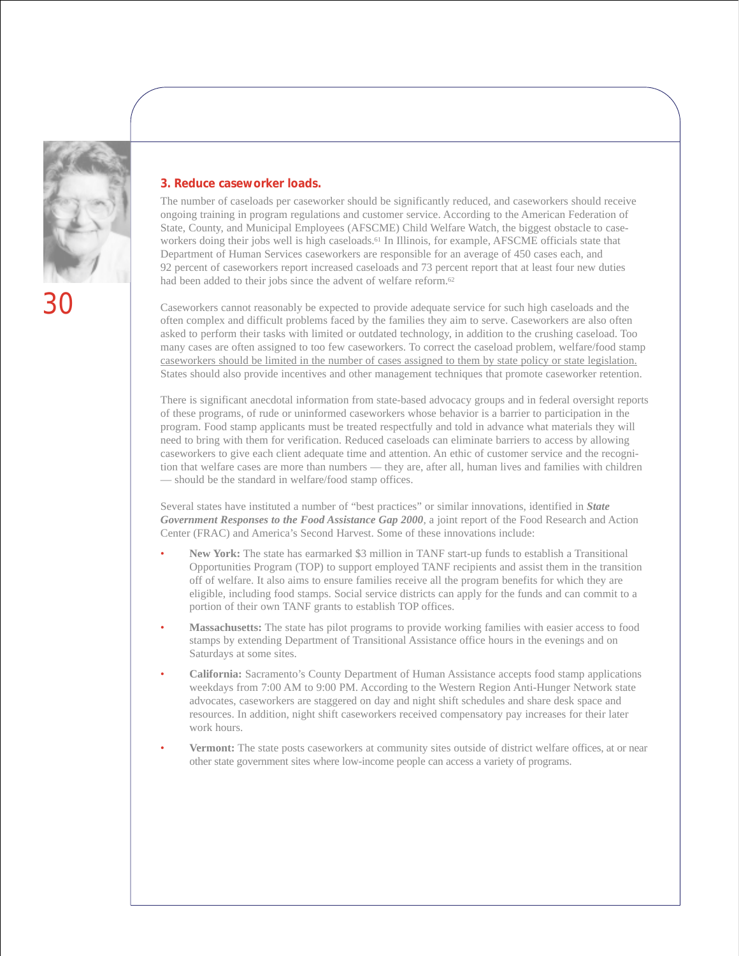

**3. Reduce caseworker loads.**

The number of caseloads per caseworker should be significantly reduced, and caseworkers should receive ongoing training in program regulations and customer service. According to the American Federation of State, County, and Municipal Employees (AFSCME) Child Welfare Watch, the biggest obstacle to caseworkers doing their jobs well is high caseloads.<sup>61</sup> In Illinois, for example, AFSCME officials state that Department of Human Services caseworkers are responsible for an average of 450 cases each, and 92 percent of caseworkers report increased caseloads and 73 percent report that at least four new duties had been added to their jobs since the advent of welfare reform.<sup>62</sup>

Caseworkers cannot reasonably be expected to provide adequate service for such high caseloads and the often complex and difficult problems faced by the families they aim to serve. Caseworkers are also often asked to perform their tasks with limited or outdated technology, in addition to the crushing caseload. Too many cases are often assigned to too few caseworkers. To correct the caseload problem, welfare/food stamp caseworkers should be limited in the number of cases assigned to them by state policy or state legislation. States should also provide incentives and other management techniques that promote caseworker retention.

There is significant anecdotal information from state-based advocacy groups and in federal oversight reports of these programs, of rude or uninformed caseworkers whose behavior is a barrier to participation in the program. Food stamp applicants must be treated respectfully and told in advance what materials they will need to bring with them for verification. Reduced caseloads can eliminate barriers to access by allowing caseworkers to give each client adequate time and attention. An ethic of customer service and the recognition that welfare cases are more than numbers — they are, after all, human lives and families with children — should be the standard in welfare/food stamp offices.

Several states have instituted a number of "best practices" or similar innovations, identified in *State Government Responses to the Food Assistance Gap 2000*, a joint report of the Food Research and Action Center (FRAC) and America's Second Harvest. Some of these innovations include:

- **New York:** The state has earmarked \$3 million in TANF start-up funds to establish a Transitional Opportunities Program (TOP) to support employed TANF recipients and assist them in the transition off of welfare. It also aims to ensure families receive all the program benefits for which they are eligible, including food stamps. Social service districts can apply for the funds and can commit to a portion of their own TANF grants to establish TOP offices.
- **Massachusetts:** The state has pilot programs to provide working families with easier access to food stamps by extending Department of Transitional Assistance office hours in the evenings and on Saturdays at some sites.
- **California:** Sacramento's County Department of Human Assistance accepts food stamp applications weekdays from 7:00 AM to 9:00 PM. According to the Western Region Anti-Hunger Network state advocates, caseworkers are staggered on day and night shift schedules and share desk space and resources. In addition, night shift caseworkers received compensatory pay increases for their later work hours.
- **Vermont:** The state posts caseworkers at community sites outside of district welfare offices, at or near other state government sites where low-income people can access a variety of programs.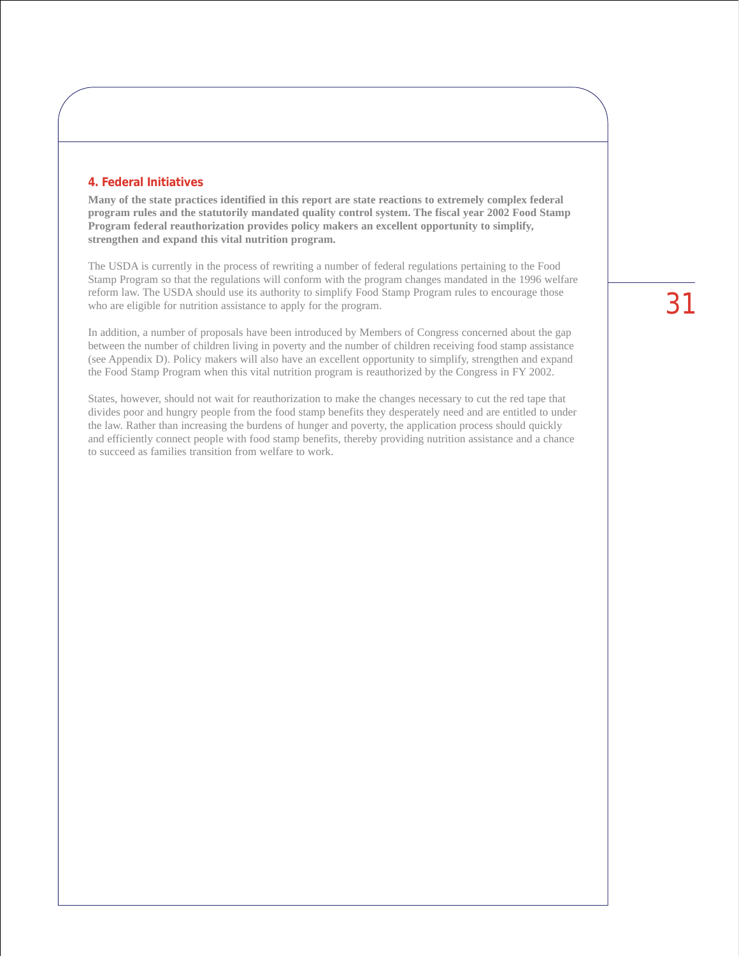#### **4. Federal Initiatives**

**Many of the state practices identified in this report are state reactions to extremely complex federal program rules and the statutorily mandated quality control system. The fiscal year 2002 Food Stamp Program federal reauthorization provides policy makers an excellent opportunity to simplify, strengthen and expand this vital nutrition program.** 

The USDA is currently in the process of rewriting a number of federal regulations pertaining to the Food Stamp Program so that the regulations will conform with the program changes mandated in the 1996 welfare reform law. The USDA should use its authority to simplify Food Stamp Program rules to encourage those who are eligible for nutrition assistance to apply for the program.

In addition, a number of proposals have been introduced by Members of Congress concerned about the gap between the number of children living in poverty and the number of children receiving food stamp assistance (see Appendix D). Policy makers will also have an excellent opportunity to simplify, strengthen and expand the Food Stamp Program when this vital nutrition program is reauthorized by the Congress in FY 2002.

States, however, should not wait for reauthorization to make the changes necessary to cut the red tape that divides poor and hungry people from the food stamp benefits they desperately need and are entitled to under the law. Rather than increasing the burdens of hunger and poverty, the application process should quickly and efficiently connect people with food stamp benefits, thereby providing nutrition assistance and a chance to succeed as families transition from welfare to work.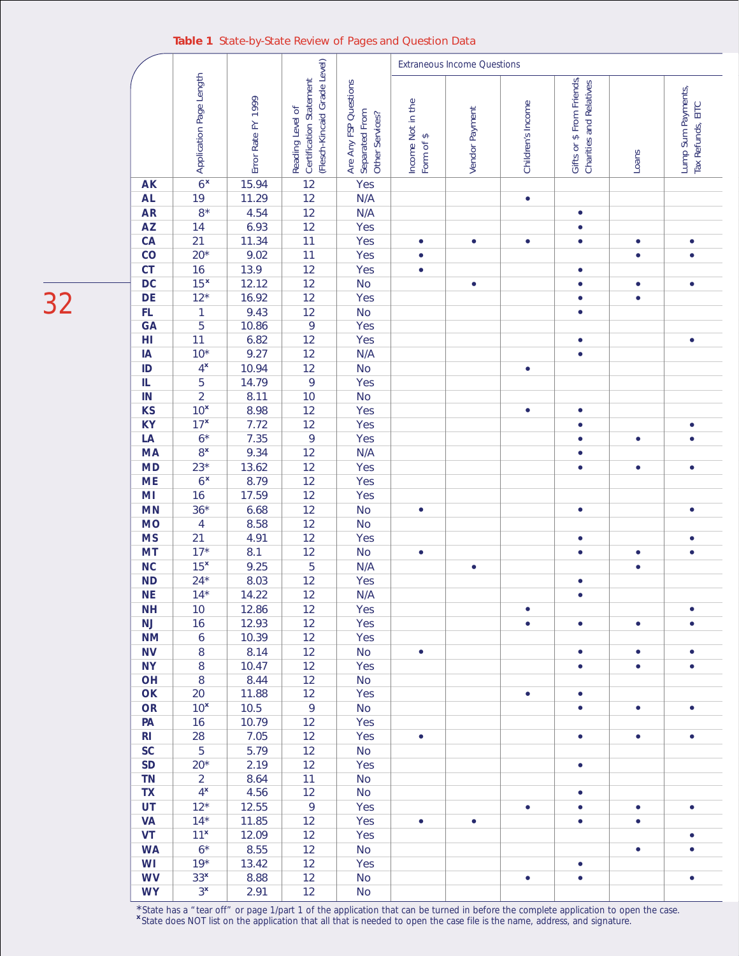#### **Table 1** State-by-State Review of Pages and Question Data

|                               |                          |                    |                              |                                   | <b>Extraneous Income Questions</b> |                |                   |                                                      |           |                    |
|-------------------------------|--------------------------|--------------------|------------------------------|-----------------------------------|------------------------------------|----------------|-------------------|------------------------------------------------------|-----------|--------------------|
|                               | Application Page Length  |                    | (Flesch-Kincaid Grade Level) |                                   |                                    |                |                   |                                                      |           |                    |
|                               |                          |                    | Certification Statement      | Are Any FSP Questions             |                                    |                |                   | Gifts or \$ From Friends,<br>Charities and Relatives |           | Lump Sum Payments, |
|                               |                          | Error Rate FY 1999 | Reading Level of             |                                   | Income Not in the                  | Vendor Payment | Children's Income |                                                      |           | Tax Refunds, EITC  |
|                               |                          |                    |                              |                                   |                                    |                |                   |                                                      |           |                    |
|                               |                          |                    |                              |                                   |                                    |                |                   |                                                      |           |                    |
|                               |                          |                    |                              | Separated From<br>Other Services? | Form of \$                         |                |                   |                                                      | Loans     |                    |
| <b>AK</b>                     | 6 <sup>x</sup>           | 15.94              | 12                           | Yes                               |                                    |                |                   |                                                      |           |                    |
| <b>AL</b>                     | 19                       | 11.29              | 12                           | N/A                               |                                    |                | $\bullet$         |                                                      |           |                    |
| <b>AR</b>                     | $8*$                     | 4.54               | 12                           | N/A                               |                                    |                |                   | $\bullet$                                            |           |                    |
| <b>AZ</b>                     | 14                       | 6.93               | 12                           | Yes                               |                                    |                |                   | $\bullet$                                            |           |                    |
| CA                            | 21                       | 11.34              | 11                           | Yes                               | $\bullet$                          | $\bullet$      | $\bullet$         | $\bullet$                                            | $\bullet$ | ۰                  |
| $\overline{c}$                | $20*$                    | 9.02               | 11                           | Yes                               | $\bullet$                          |                |                   |                                                      | $\bullet$ |                    |
| CT                            | 16                       | 13.9               | 12                           | Yes                               | $\bullet$                          |                |                   | $\bullet$                                            |           |                    |
| DC                            | 15 <sup>x</sup>          | 12.12              | 12                           | <b>No</b>                         |                                    | $\bullet$      |                   | ٠                                                    | $\bullet$ | $\bullet$          |
| DE                            | $12*$                    | 16.92              | 12                           | Yes                               |                                    |                |                   | $\bullet$                                            | $\bullet$ |                    |
| $\mathsf{FL}$                 | $\mathbf{1}$             | 9.43               | 12                           | No                                |                                    |                |                   | $\bullet$                                            |           |                    |
| GA                            | $\overline{5}$           | 10.86              | 9                            | Yes                               |                                    |                |                   |                                                      |           |                    |
| $\mathsf{H} \mathsf{I}$<br>IA | 11<br>$10*$              | 6.82<br>9.27       | 12<br>12                     | Yes<br>N/A                        |                                    |                |                   | $\bullet$<br>$\bullet$                               |           | $\bullet$          |
| ID                            | $4^{\times}$             | 10.94              | 12                           | <b>No</b>                         |                                    |                | $\bullet$         |                                                      |           |                    |
| IL                            | 5                        | 14.79              | 9                            | Yes                               |                                    |                |                   |                                                      |           |                    |
| IN                            | $\overline{2}$           | 8.11               | 10                           | <b>No</b>                         |                                    |                |                   |                                                      |           |                    |
| <b>KS</b>                     | 10 <sup>x</sup>          | 8.98               | 12                           | Yes                               |                                    |                | $\bullet$         | $\bullet$                                            |           |                    |
| <b>KY</b>                     | 17 <sup>x</sup>          | 7.72               | 12                           | Yes                               |                                    |                |                   | $\bullet$                                            |           | $\bullet$          |
| LA                            | $6*$                     | 7.35               | 9                            | Yes                               |                                    |                |                   | $\bullet$                                            | $\bullet$ | $\bullet$          |
| <b>MA</b>                     | $8^{\times}$             | 9.34               | 12                           | N/A                               |                                    |                |                   | $\bullet$                                            |           |                    |
| <b>MD</b>                     | $23*$                    | 13.62              | 12                           | Yes                               |                                    |                |                   | $\bullet$                                            | $\bullet$ | $\bullet$          |
| <b>ME</b>                     | 6 <sup>x</sup>           | 8.79               | 12                           | Yes                               |                                    |                |                   |                                                      |           |                    |
| M <sub>l</sub>                | 16                       | 17.59              | 12                           | Yes                               |                                    |                |                   |                                                      |           |                    |
| <b>MN</b>                     | $36*$                    | 6.68               | 12                           | <b>No</b>                         | $\bullet$                          |                |                   | $\bullet$                                            |           | $\bullet$          |
| <b>MO</b>                     | $\overline{\mathbf{4}}$  | 8.58               | 12                           | <b>No</b>                         |                                    |                |                   |                                                      |           |                    |
| <b>MS</b>                     | 21                       | 4.91               | 12                           | Yes                               |                                    |                |                   | $\bullet$                                            |           | $\bullet$          |
| <b>MT</b>                     | $17*$                    | 8.1                | 12                           | No                                | $\bullet$                          |                |                   |                                                      | ۰         | $\bullet$          |
| <b>NC</b><br><b>ND</b>        | 15 <sup>x</sup><br>$24*$ | 9.25<br>8.03       | 5<br>12                      | N/A<br>Yes                        |                                    | $\bullet$      |                   | $\bullet$                                            | $\bullet$ |                    |
| <b>NE</b>                     | $14*$                    | 14.22              | 12                           | N/A                               |                                    |                |                   | $\bullet$                                            |           |                    |
| <b>NH</b>                     | 10                       | 12.86              | 12                           | Yes                               |                                    |                | $\bullet$         |                                                      |           | $\bullet$          |
| NJ                            | 16                       | 12.93              | 12                           | Yes                               |                                    |                | $\bullet$         | $\bullet$                                            | $\bullet$ | $\bullet$          |
| <b>NM</b>                     | 6                        | 10.39              | 12                           | Yes                               |                                    |                |                   |                                                      |           |                    |
| <b>NV</b>                     | 8                        | 8.14               | 12                           | <b>No</b>                         | $\bullet$                          |                |                   | $\bullet$                                            | $\bullet$ | $\bullet$          |
| <b>NY</b>                     | 8                        | 10.47              | 12                           | Yes                               |                                    |                |                   | $\bullet$                                            | $\bullet$ | $\bullet$          |
| OH                            | $\, 8$                   | 8.44               | 12                           | <b>No</b>                         |                                    |                |                   |                                                      |           |                    |
| OK                            | 20                       | 11.88              | 12                           | Yes                               |                                    |                | $\bullet$         | $\bullet$                                            |           |                    |
| OR                            | 10 <sup>x</sup>          | 10.5               | 9                            | <b>No</b>                         |                                    |                |                   | $\bullet$                                            | $\bullet$ | $\bullet$          |
| PA                            | 16                       | 10.79              | 12                           | Yes                               |                                    |                |                   |                                                      |           |                    |
| R <sub>l</sub>                | 28                       | 7.05               | 12                           | Yes                               | $\bullet$                          |                |                   | $\bullet$                                            | $\bullet$ | $\bullet$          |
| $\mathsf{SC}$                 | 5                        | 5.79               | 12                           | <b>No</b>                         |                                    |                |                   |                                                      |           |                    |
| <b>SD</b><br><b>TN</b>        | $20*$<br>$\overline{2}$  | 2.19<br>8.64       | 12<br>11                     | Yes<br><b>No</b>                  |                                    |                |                   | $\bullet$                                            |           |                    |
| TX                            | $4^{\mathbf{x}}$         | 4.56               | 12                           | <b>No</b>                         |                                    |                |                   | $\bullet$                                            |           |                    |
| UT                            | $12*$                    | 12.55              | 9                            | Yes                               |                                    |                | $\bullet$         | $\bullet$                                            | $\bullet$ | $\bullet$          |
| <b>VA</b>                     | $14*$                    | 11.85              | 12                           | Yes                               | $\bullet$                          | $\bullet$      |                   | $\bullet$                                            | $\bullet$ |                    |
| <b>VT</b>                     | $11^x$                   | 12.09              | 12                           | Yes                               |                                    |                |                   |                                                      |           | $\bullet$          |
| <b>WA</b>                     | $6*$                     | 8.55               | 12                           | <b>No</b>                         |                                    |                |                   |                                                      | $\bullet$ | $\bullet$          |
| WI                            | $19*$                    | 13.42              | 12                           | Yes                               |                                    |                |                   | $\bullet$                                            |           |                    |
| <b>WV</b>                     | 33 <sup>x</sup>          | 8.88               | 12                           | <b>No</b>                         |                                    |                | $\bullet$         | $\bullet$                                            |           | $\bullet$          |
| <b>WY</b>                     | $3^x$                    | 2.91               | 12                           | <b>No</b>                         |                                    |                |                   |                                                      |           |                    |

32

\*State has a "tear off" or page 1/part 1 of the application that can be turned in before the complete application to open the case.<br>\*State does NOT list on the application that all that is needed to open the case file is t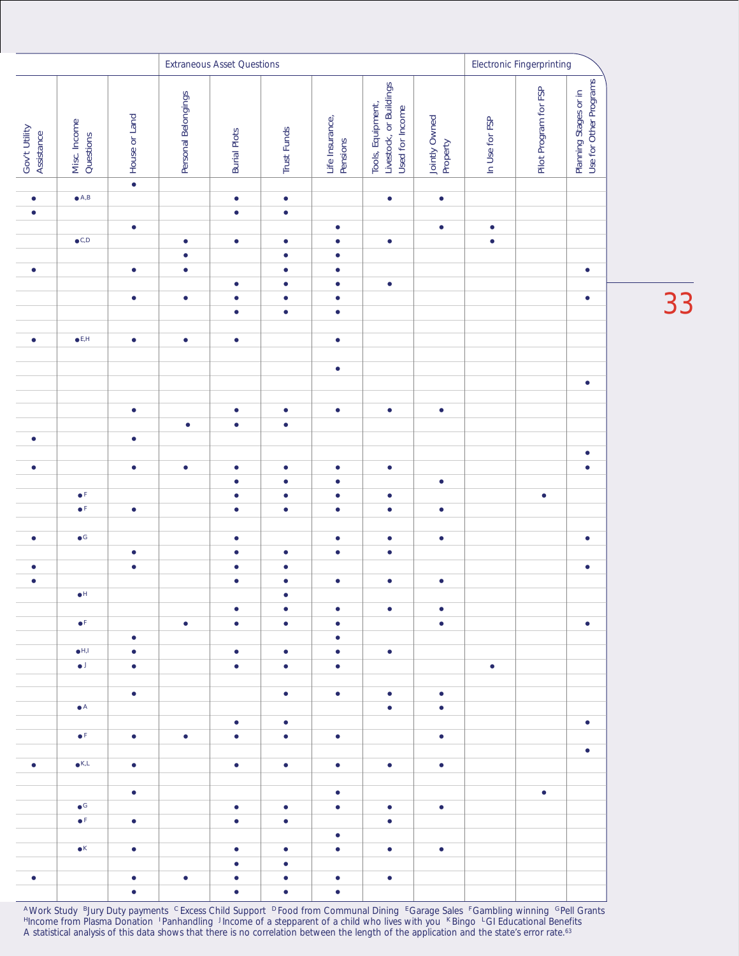|                             |                           |               | <b>Extraneous Asset Questions</b> |                        |                        |                             |                                                                 |                           |                | <b>Electronic Fingerprinting</b> |                                                 |  |
|-----------------------------|---------------------------|---------------|-----------------------------------|------------------------|------------------------|-----------------------------|-----------------------------------------------------------------|---------------------------|----------------|----------------------------------|-------------------------------------------------|--|
| Gov't Utility<br>Assistance | Misc. Income<br>Questions | House or Land | Personal Belongings               | <b>Burial Plots</b>    | <b>Trust Funds</b>     | Life Insurance,<br>Pensions | Livestock, or Buildings<br>Used for Income<br>Tools, Equipment, | Jointly Owned<br>Property | In Use for FSP | Pilot Program for FSP            | Use for Other Programs<br>Planning Stages or in |  |
|                             |                           | $\bullet$     |                                   |                        |                        |                             |                                                                 |                           |                |                                  |                                                 |  |
| $\bullet$                   | $\bullet$ A,B             |               |                                   | $\bullet$              | $\bullet$              |                             | $\bullet$                                                       | $\bullet$                 |                |                                  |                                                 |  |
| $\bullet$                   |                           | $\bullet$     |                                   | $\bullet$              | $\bullet$              | $\bullet$                   |                                                                 | $\bullet$                 | $\bullet$      |                                  |                                                 |  |
|                             | $\bullet$ C,D             |               | $\bullet$                         | $\bullet$              | $\bullet$              | $\bullet$                   | $\bullet$                                                       |                           | $\bullet$      |                                  |                                                 |  |
|                             |                           |               | $\bullet$                         |                        | $\bullet$              | $\bullet$                   |                                                                 |                           |                |                                  |                                                 |  |
| $\bullet$                   |                           | $\bullet$     | $\bullet$                         |                        | $\bullet$              | $\bullet$                   |                                                                 |                           |                |                                  | $\bullet$                                       |  |
|                             |                           |               |                                   | $\bullet$              | $\bullet$              | $\bullet$                   | $\bullet$                                                       |                           |                |                                  |                                                 |  |
|                             |                           | $\bullet$     | $\bullet$                         | $\bullet$<br>$\bullet$ | $\bullet$<br>$\bullet$ | $\bullet$<br>$\bullet$      |                                                                 |                           |                |                                  | $\bullet$                                       |  |
|                             |                           |               |                                   |                        |                        |                             |                                                                 |                           |                |                                  |                                                 |  |
| $\bullet$                   | $\bullet$ E,H             | $\bullet$     | $\bullet$                         | $\bullet$              |                        | $\bullet$                   |                                                                 |                           |                |                                  |                                                 |  |
|                             |                           |               |                                   |                        |                        |                             |                                                                 |                           |                |                                  |                                                 |  |
|                             |                           |               |                                   |                        |                        | $\bullet$                   |                                                                 |                           |                |                                  |                                                 |  |
|                             |                           |               |                                   |                        |                        |                             |                                                                 |                           |                |                                  | $\bullet$                                       |  |
|                             |                           | $\bullet$     |                                   | $\bullet$              | $\bullet$              | $\bullet$                   | $\bullet$                                                       | $\bullet$                 |                |                                  |                                                 |  |
|                             |                           |               | $\bullet$                         | $\bullet$              | $\bullet$              |                             |                                                                 |                           |                |                                  |                                                 |  |
| $\bullet$                   |                           | $\bullet$     |                                   |                        |                        |                             |                                                                 |                           |                |                                  |                                                 |  |
|                             |                           |               |                                   |                        |                        |                             |                                                                 |                           |                |                                  | $\bullet$                                       |  |
| $\bullet$                   |                           | $\bullet$     | $\bullet$                         | $\bullet$              | $\bullet$              | $\bullet$                   | $\bullet$                                                       |                           |                |                                  | $\bullet$                                       |  |
|                             | $\bullet^{\mathrm{F}}$    |               |                                   | $\bullet$<br>$\bullet$ | $\bullet$<br>$\bullet$ | $\bullet$<br>$\bullet$      | $\bullet$                                                       | $\bullet$                 |                | $\bullet$                        |                                                 |  |
|                             | $\bullet$ F               | $\bullet$     |                                   | $\bullet$              | $\bullet$              | $\bullet$                   | $\bullet$                                                       | $\bullet$                 |                |                                  |                                                 |  |
|                             |                           |               |                                   |                        |                        |                             |                                                                 |                           |                |                                  |                                                 |  |
| $\bullet$                   | $\bullet$ G               |               |                                   | $\bullet$              |                        | $\bullet$                   | $\bullet$                                                       | $\bullet$                 |                |                                  | $\bullet$                                       |  |
|                             |                           | $\bullet$     |                                   | $\bullet$              | $\bullet$              | $\bullet$                   | $\bullet$                                                       |                           |                |                                  |                                                 |  |
| $\bullet$                   |                           | $\bullet$     |                                   | $\bullet$              | ٠                      |                             |                                                                 |                           |                |                                  | $\bullet$                                       |  |
| $\bullet$                   | $\bullet$ H               |               |                                   | $\bullet$              | $\bullet$<br>$\bullet$ | $\bullet$                   | $\bullet$                                                       | $\bullet$                 |                |                                  |                                                 |  |
|                             |                           |               |                                   | $\bullet$              | $\bullet$              | $\bullet$                   | $\bullet$                                                       | $\bullet$                 |                |                                  |                                                 |  |
|                             | $\bullet$ <sup>F</sup>    |               | $\bullet$                         | $\bullet$              | $\bullet$              | $\bullet$                   |                                                                 | $\bullet$                 |                |                                  | $\bullet$                                       |  |
|                             |                           | $\bullet$     |                                   |                        |                        | $\bullet$                   |                                                                 |                           |                |                                  |                                                 |  |
|                             | $\bullet$ H,I             | $\bullet$     |                                   | $\bullet$              | $\bullet$              | $\bullet$                   | $\bullet$                                                       |                           |                |                                  |                                                 |  |
|                             | $\bullet$                 | $\bullet$     |                                   | $\bullet$              | $\bullet$              | $\bullet$                   |                                                                 |                           | $\bullet$      |                                  |                                                 |  |
|                             |                           | $\bullet$     |                                   |                        | $\bullet$              | $\bullet$                   | $\bullet$                                                       | $\bullet$                 |                |                                  |                                                 |  |
|                             | $\bullet$ A               |               |                                   |                        |                        |                             | $\bullet$                                                       | $\bullet$                 |                |                                  |                                                 |  |
|                             |                           |               |                                   | $\bullet$              | $\bullet$              |                             |                                                                 |                           |                |                                  | $\bullet$                                       |  |
|                             | $\bullet$ F               | $\bullet$     | $\bullet$                         | $\bullet$              | $\bullet$              | $\bullet$                   |                                                                 | $\bullet$                 |                |                                  |                                                 |  |
|                             | $\bullet$ K,L             |               |                                   |                        |                        |                             |                                                                 |                           |                |                                  | $\bullet$                                       |  |
| $\bullet$                   |                           | $\bullet$     |                                   | $\bullet$              | $\bullet$              | $\bullet$                   | $\bullet$                                                       | $\bullet$                 |                |                                  |                                                 |  |
|                             |                           | $\bullet$     |                                   |                        |                        | $\bullet$                   |                                                                 |                           |                | $\bullet$                        |                                                 |  |
|                             | $\bullet$ G               |               |                                   | $\bullet$              | $\bullet$              | $\bullet$                   | $\bullet$                                                       | $\bullet$                 |                |                                  |                                                 |  |
|                             | $\bullet$ F               | $\bullet$     |                                   | $\bullet$              | $\bullet$              |                             | $\bullet$                                                       |                           |                |                                  |                                                 |  |
|                             |                           |               |                                   |                        |                        | $\bullet$                   |                                                                 |                           |                |                                  |                                                 |  |
|                             | $\bullet$ K               | $\bullet$     |                                   | $\bullet$              | $\bullet$              | $\bullet$                   | $\bullet$                                                       | $\bullet$                 |                |                                  |                                                 |  |
| $\bullet$                   |                           | $\bullet$     | $\bullet$                         | $\bullet$<br>$\bullet$ | $\bullet$<br>$\bullet$ | $\bullet$                   | $\bullet$                                                       |                           |                |                                  |                                                 |  |
|                             |                           | $\bullet$     |                                   | $\bullet$              | ٠                      | $\bullet$                   |                                                                 |                           |                |                                  |                                                 |  |

33

AWork Study BJury Duty payments CExcess Child Support D Food from Communal Dining EGarage Sales EGambling winning GPell Grants <sup>H</sup>Income from Plasma Donation <sup>I</sup> Panhandling JIncome of a stepparent of a child who lives with you KBingo LGI Educational Benefits *A statistical analysis of this data shows that there is no correlation between the length of the application and the state's error rate.63*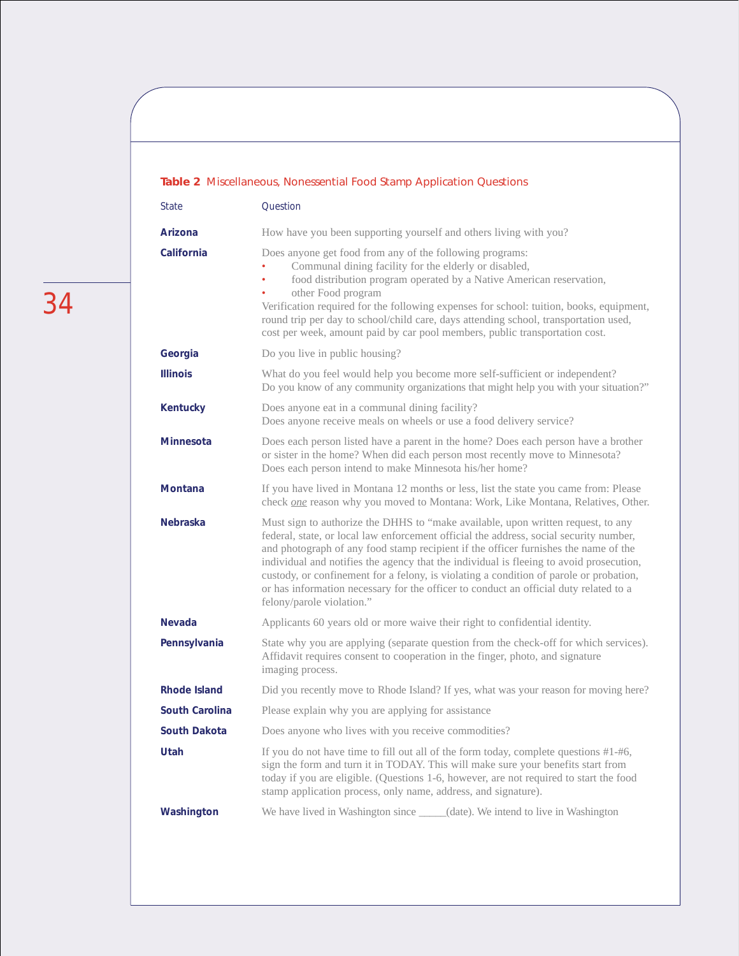#### **Table 2** Miscellaneous, Nonessential Food Stamp Application Questions

| <b>State</b>          | Question                                                                                                                                                                                                                                                                                                                                                                                                                                                                                                                                                                     |
|-----------------------|------------------------------------------------------------------------------------------------------------------------------------------------------------------------------------------------------------------------------------------------------------------------------------------------------------------------------------------------------------------------------------------------------------------------------------------------------------------------------------------------------------------------------------------------------------------------------|
| Arizona               | How have you been supporting yourself and others living with you?                                                                                                                                                                                                                                                                                                                                                                                                                                                                                                            |
| California            | Does anyone get food from any of the following programs:<br>Communal dining facility for the elderly or disabled,<br>food distribution program operated by a Native American reservation,<br>$\bullet$<br>other Food program<br>Verification required for the following expenses for school: tuition, books, equipment,<br>round trip per day to school/child care, days attending school, transportation used,<br>cost per week, amount paid by car pool members, public transportation cost.                                                                               |
| Georgia               | Do you live in public housing?                                                                                                                                                                                                                                                                                                                                                                                                                                                                                                                                               |
| <b>Illinois</b>       | What do you feel would help you become more self-sufficient or independent?<br>Do you know of any community organizations that might help you with your situation?"                                                                                                                                                                                                                                                                                                                                                                                                          |
| <b>Kentucky</b>       | Does anyone eat in a communal dining facility?<br>Does anyone receive meals on wheels or use a food delivery service?                                                                                                                                                                                                                                                                                                                                                                                                                                                        |
| <b>Minnesota</b>      | Does each person listed have a parent in the home? Does each person have a brother<br>or sister in the home? When did each person most recently move to Minnesota?<br>Does each person intend to make Minnesota his/her home?                                                                                                                                                                                                                                                                                                                                                |
| <b>Montana</b>        | If you have lived in Montana 12 months or less, list the state you came from: Please<br>check <i>one</i> reason why you moved to Montana: Work, Like Montana, Relatives, Other.                                                                                                                                                                                                                                                                                                                                                                                              |
| <b>Nebraska</b>       | Must sign to authorize the DHHS to "make available, upon written request, to any<br>federal, state, or local law enforcement official the address, social security number,<br>and photograph of any food stamp recipient if the officer furnishes the name of the<br>individual and notifies the agency that the individual is fleeing to avoid prosecution,<br>custody, or confinement for a felony, is violating a condition of parole or probation,<br>or has information necessary for the officer to conduct an official duty related to a<br>felony/parole violation." |
| <b>Nevada</b>         | Applicants 60 years old or more waive their right to confidential identity.                                                                                                                                                                                                                                                                                                                                                                                                                                                                                                  |
| Pennsylvania          | State why you are applying (separate question from the check-off for which services).<br>Affidavit requires consent to cooperation in the finger, photo, and signature<br>imaging process.                                                                                                                                                                                                                                                                                                                                                                                   |
| <b>Rhode Island</b>   | Did you recently move to Rhode Island? If yes, what was your reason for moving here?                                                                                                                                                                                                                                                                                                                                                                                                                                                                                         |
| <b>South Carolina</b> | Please explain why you are applying for assistance                                                                                                                                                                                                                                                                                                                                                                                                                                                                                                                           |
| <b>South Dakota</b>   | Does anyone who lives with you receive commodities?                                                                                                                                                                                                                                                                                                                                                                                                                                                                                                                          |
| Utah                  | If you do not have time to fill out all of the form today, complete questions #1-#6,<br>sign the form and turn it in TODAY. This will make sure your benefits start from<br>today if you are eligible. (Questions 1-6, however, are not required to start the food<br>stamp application process, only name, address, and signature).                                                                                                                                                                                                                                         |
| Washington            | We have lived in Washington since _____(date). We intend to live in Washington                                                                                                                                                                                                                                                                                                                                                                                                                                                                                               |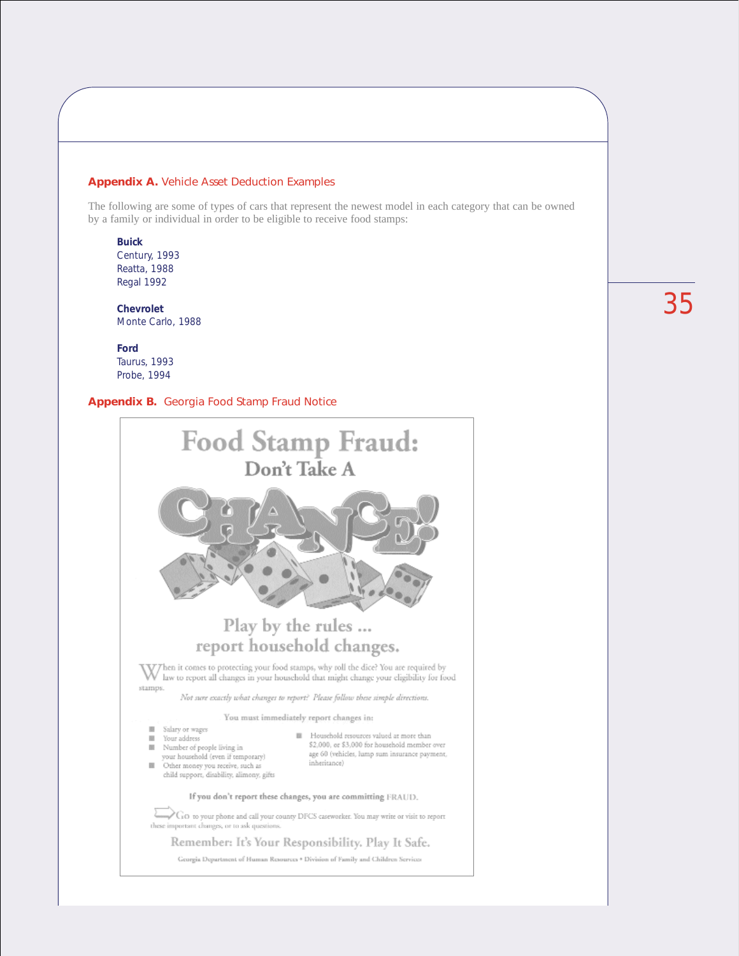#### **Appendix A.** Vehicle Asset Deduction Examples

The following are some of types of cars that represent the newest model in each category that can be owned by a family or individual in order to be eligible to receive food stamps:

**Buick** Century, 1993 Reatta, 1988 Regal 1992

**Chevrolet** Monte Carlo, 1988

**Ford** Taurus, 1993 Probe, 1994

#### **Appendix B.** Georgia Food Stamp Fraud Notice

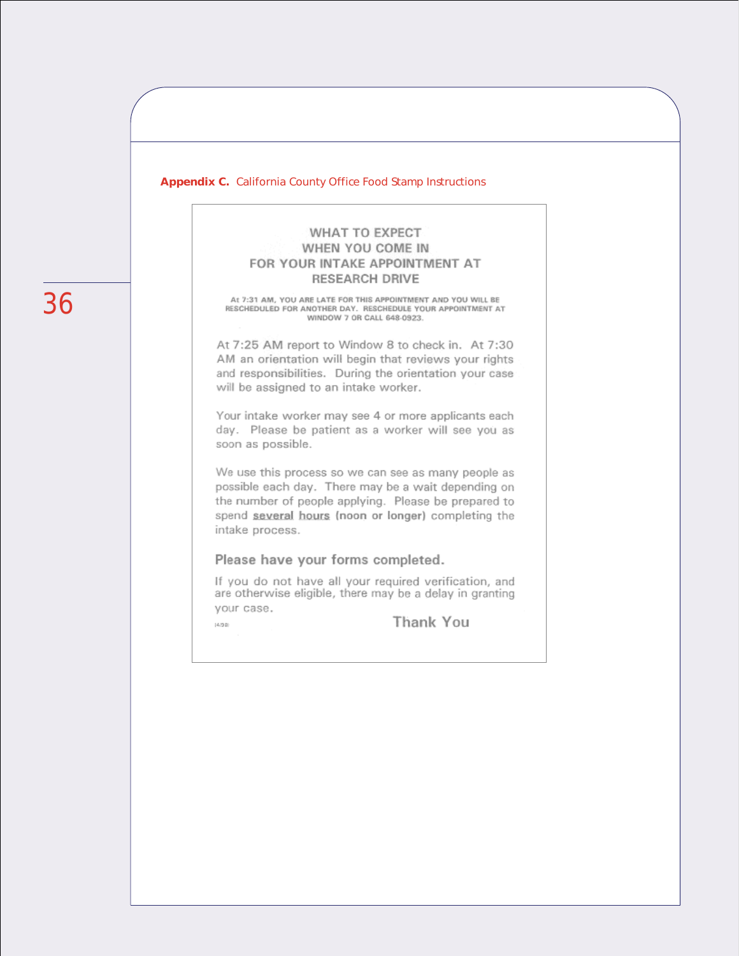#### **Appendix C.** California County Office Food Stamp Instructions

#### **WHAT TO EXPECT** WHEN YOU COME IN FOR YOUR INTAKE APPOINTMENT AT **RESEARCH DRIVE**

At 7:31 AM, YOU ARE LATE FOR THIS APPOINTMENT AND YOU WILL BE RESCHEDULED FOR ANOTHER DAY. RESCHEDULE YOUR APPOINTMENT AT WINDOW 7 OR CALL 648-0923.

At 7:25 AM report to Window 8 to check in. At 7:30 AM an orientation will begin that reviews your rights and responsibilities. During the orientation your case will be assigned to an intake worker.

Your intake worker may see 4 or more applicants each day. Please be patient as a worker will see you as soon as possible.

We use this process so we can see as many people as possible each day. There may be a wait depending on the number of people applying. Please be prepared to spend several hours (noon or longer) completing the intake process.

#### Please have your forms completed.

 $(4/20)$ 

If you do not have all your required verification, and are otherwise eligible, there may be a delay in granting your case.

Thank You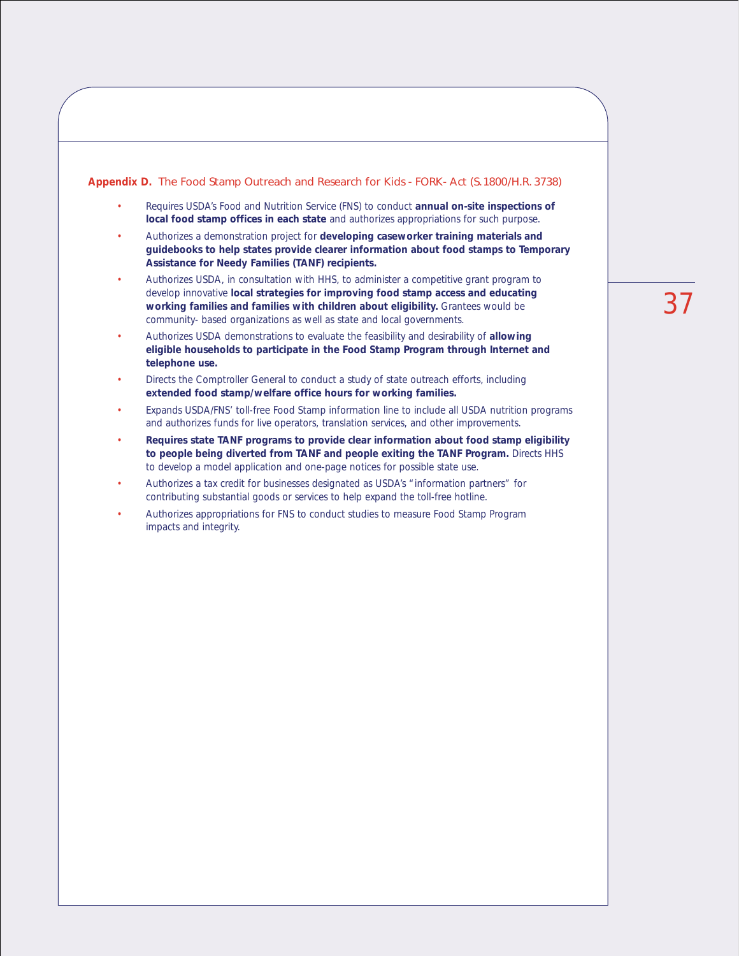#### **Appendix D.** The Food Stamp Outreach and Research for Kids - FORK- Act (S.1800/H.R. 3738)

- Requires USDA's Food and Nutrition Service (FNS) to conduct **annual on-site inspections of local food stamp offices in each state** and authorizes appropriations for such purpose.
- Authorizes a demonstration project for **developing caseworker training materials and guidebooks to help states provide clearer information about food stamps to Temporary Assistance for Needy Families (TANF) recipients.**
- Authorizes USDA, in consultation with HHS, to administer a competitive grant program to develop innovative **local strategies for improving food stamp access and educating working families and families with children about eligibility.** Grantees would be community- based organizations as well as state and local governments.
- Authorizes USDA demonstrations to evaluate the feasibility and desirability of **allowing eligible households to participate in the Food Stamp Program through Internet and telephone use.**
- Directs the Comptroller General to conduct a study of state outreach efforts, including **extended food stamp/welfare office hours for working families.**
- Expands USDA/FNS' toll-free Food Stamp information line to include all USDA nutrition programs and authorizes funds for live operators, translation services, and other improvements.
- **Requires state TANF programs to provide clear information about food stamp eligibility to people being diverted from TANF and people exiting the TANF Program.** Directs HHS to develop a model application and one-page notices for possible state use.
- Authorizes a tax credit for businesses designated as USDA's "information partners" for contributing substantial goods or services to help expand the toll-free hotline.
- Authorizes appropriations for FNS to conduct studies to measure Food Stamp Program impacts and integrity.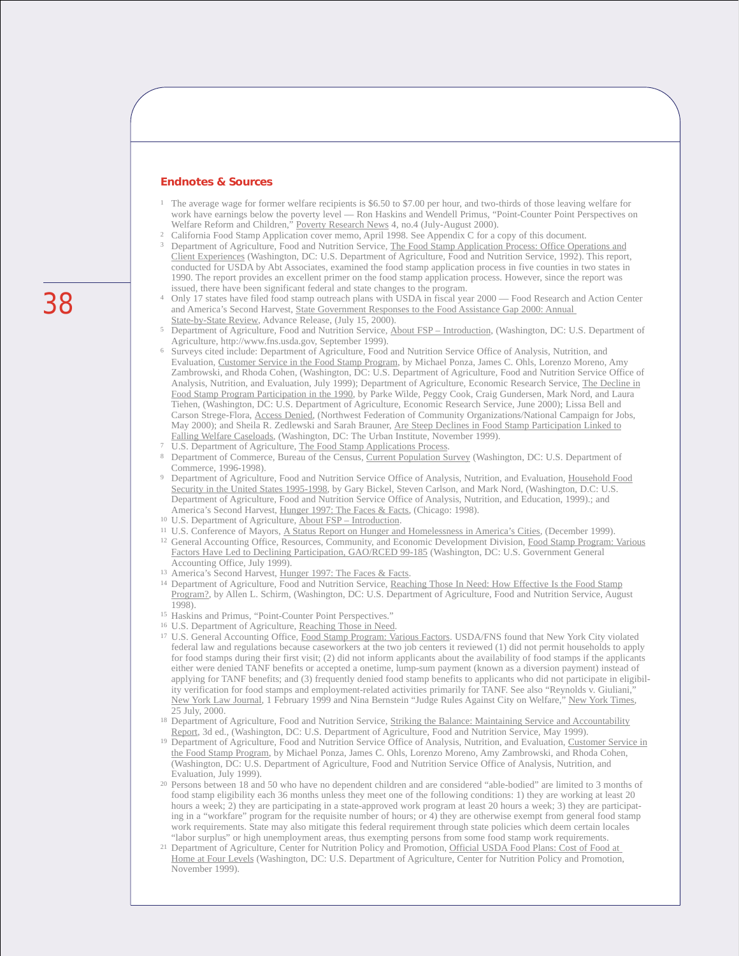#### **Endnotes & Sources**

- <sup>1</sup> The average wage for former welfare recipients is \$6.50 to \$7.00 per hour, and two-thirds of those leaving welfare for work have earnings below the poverty level — Ron Haskins and Wendell Primus, "Point-Counter Point Perspectives on Welfare Reform and Children," Poverty Research News 4, no.4 (July-August 2000).
- <sup>2</sup> California Food Stamp Application cover memo, April 1998. See Appendix C for a copy of this document.
- <sup>3</sup> Department of Agriculture, Food and Nutrition Service, The Food Stamp Application Process: Office Operations and Client Experiences (Washington, DC: U.S. Department of Agriculture, Food and Nutrition Service, 1992). This report, conducted for USDA by Abt Associates, examined the food stamp application process in five counties in two states in 1990. The report provides an excellent primer on the food stamp application process. However, since the report was issued, there have been significant federal and state changes to the program.
- Only 17 states have filed food stamp outreach plans with USDA in fiscal year 2000 Food Research and Action Center and America's Second Harvest, State Government Responses to the Food Assistance Gap 2000: Annual State-by-State Review, Advance Release, (July 15, 2000).
- <sup>5</sup> Department of Agriculture, Food and Nutrition Service, About FSP Introduction, (Washington, DC: U.S. Department of Agriculture, http://www.fns.usda.gov, September 1999).
- <sup>6</sup> Surveys cited include: Department of Agriculture, Food and Nutrition Service Office of Analysis, Nutrition, and Evaluation, Customer Service in the Food Stamp Program, by Michael Ponza, James C. Ohls, Lorenzo Moreno, Amy Zambrowski, and Rhoda Cohen, (Washington, DC: U.S. Department of Agriculture, Food and Nutrition Service Office of Analysis, Nutrition, and Evaluation, July 1999); Department of Agriculture, Economic Research Service, The Decline in Food Stamp Program Participation in the 1990, by Parke Wilde, Peggy Cook, Craig Gundersen, Mark Nord, and Laura Tiehen, (Washington, DC: U.S. Department of Agriculture, Economic Research Service, June 2000); Lissa Bell and Carson Strege-Flora, Access Denied, (Northwest Federation of Community Organizations/National Campaign for Jobs, May 2000); and Sheila R. Zedlewski and Sarah Brauner, Are Steep Declines in Food Stamp Participation Linked to Falling Welfare Caseloads, (Washington, DC: The Urban Institute, November 1999).
- 
- U.S. Department of Agriculture, The Food Stamp Applications Process.<br>Department of Commerce, Bureau of the Census, Current Population Survey (Washington, DC: U.S. Department of Commerce, 1996-1998).
- <sup>9</sup> Department of Agriculture, Food and Nutrition Service Office of Analysis, Nutrition, and Evaluation, Household Food Security in the United States 1995-1998, by Gary Bickel, Steven Carlson, and Mark Nord, (Washington, D.C: U.S. Department of Agriculture, Food and Nutrition Service Office of Analysis, Nutrition, and Education, 1999).; and America's Second Harvest, Hunger 1997: The Faces & Facts, (Chicago: 1998). 10 U.S. Department of Agriculture, About FSP – Introduction.
- 
- <sup>11</sup> U.S. Conference of Mayors, A Status Report on Hunger and Homelessness in America's Cities, (December 1999).
- <sup>12</sup> General Accounting Office, Resources, Community, and Economic Development Division, Food Stamp Program: Various Factors Have Led to Declining Participation, GAO/RCED 99-185 (Washington, DC: U.S. Government General Accounting Office, July 1999).
- <sup>13</sup> America's Second Harvest, Hunger 1997: The Faces & Facts.
- <sup>14</sup> Department of Agriculture, Food and Nutrition Service, Reaching Those In Need: How Effective Is the Food Stamp Program?, by Allen L. Schirm, (Washington, DC: U.S. Department of Agriculture, Food and Nutrition Service, August
- <sup>15</sup> Haskins and Primus, "Point-Counter Point Perspectives."
- <sup>16</sup> U.S. Department of Agriculture, Reaching Those in Need.
- <sup>17</sup> U.S. General Accounting Office, Food Stamp Program: Various Factors. USDA/FNS found that New York City violated federal law and regulations because caseworkers at the two job centers it reviewed (1) did not permit households to apply for food stamps during their first visit; (2) did not inform applicants about the availability of food stamps if the applicants either were denied TANF benefits or accepted a onetime, lump-sum payment (known as a diversion payment) instead of applying for TANF benefits; and (3) frequently denied food stamp benefits to applicants who did not participate in eligibility verification for food stamps and employment-related activities primarily for TANF. See also "Reynolds v. Giuliani," New York Law Journal, 1 February 1999 and Nina Bernstein "Judge Rules Against City on Welfare," New York Times, 25 July, 2000.
- <sup>18</sup> Department of Agriculture, Food and Nutrition Service, Striking the Balance: Maintaining Service and Accountability Report, 3d ed., (Washington, DC: U.S. Department of Agriculture, Food and Nutrition Service, May 1999).
- <sup>19</sup> Department of Agriculture, Food and Nutrition Service Office of Analysis, Nutrition, and Evaluation, Customer Service in the Food Stamp Program, by Michael Ponza, James C. Ohls, Lorenzo Moreno, Amy Zambrowski, and Rhoda Cohen, (Washington, DC: U.S. Department of Agriculture, Food and Nutrition Service Office of Analysis, Nutrition, and Evaluation, July 1999).
- <sup>20</sup> Persons between 18 and 50 who have no dependent children and are considered "able-bodied" are limited to 3 months of food stamp eligibility each 36 months unless they meet one of the following conditions: 1) they are working at least 20 hours a week; 2) they are participating in a state-approved work program at least 20 hours a week; 3) they are participating in a "workfare" program for the requisite number of hours; or 4) they are otherwise exempt from general food stamp work requirements. State may also mitigate this federal requirement through state policies which deem certain locales "labor surplus" or high unemployment areas, thus exempting persons from some food stamp work requirement
- "labor surplus" or high unemployment areas, thus exempting persons from some food stamp work requirements. 21 Department of Agriculture, Center for Nutrition Policy and Promotion, Official USDA Food Plans: Cost of Food at Home at Four Levels (Washington, DC: U.S. Department of Agriculture, Center for Nutrition Policy and Promotion, November 1999).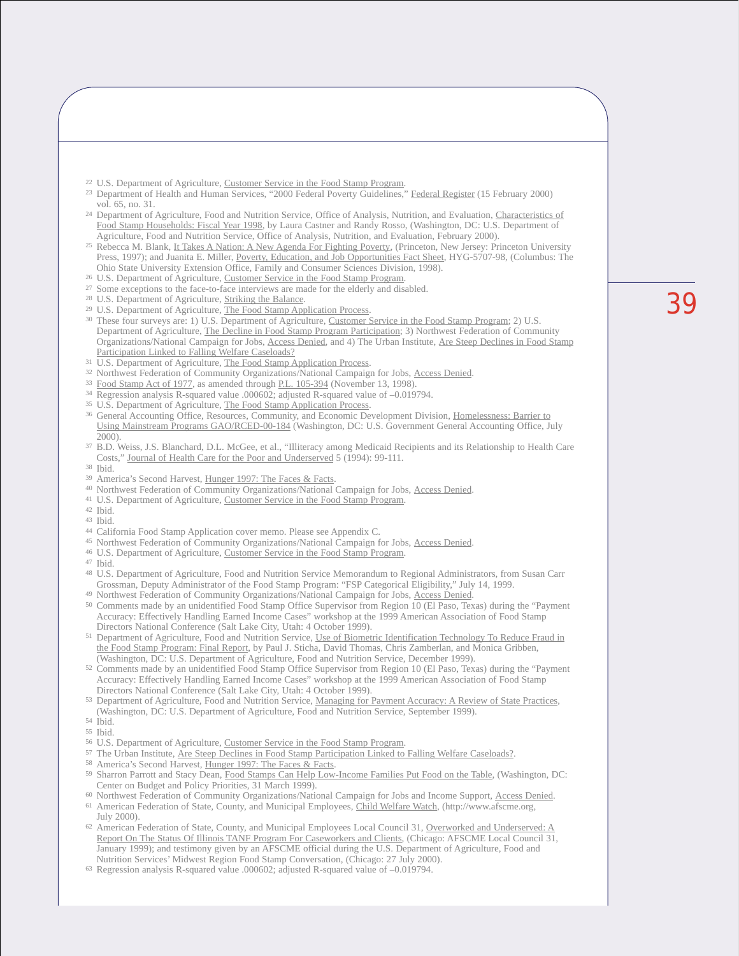- <sup>22</sup> U.S. Department of Agriculture, Customer Service in the Food Stamp Program.
- <sup>23</sup> Department of Health and Human Services, "2000 Federal Poverty Guidelines," Federal Register (15 February 2000) vol. 65, no. 31.
- <sup>24</sup> Department of Agriculture, Food and Nutrition Service, Office of Analysis, Nutrition, and Evaluation, Characteristics of Food Stamp Households: Fiscal Year 1998, by Laura Castner and Randy Rosso, (Washington, DC: U.S. Department of Agriculture, Food and Nutrition Service, Office of Analysis, Nutrition, and Evaluation, February 2000).
- <sup>25</sup> Rebecca M. Blank, It Takes A Nation: A New Agenda For Fighting Poverty, (Princeton, New Jersey: Princeton University Press, 1997); and Juanita E. Miller, Poverty, Education, and Job Opportunities Fact Sheet, HYG-5707-98, (Columbus: The Ohio State University Extension Office, Family and Consumer Sciences Division, 1998).
- <sup>26</sup> U.S. Department of Agriculture, Customer Service in the Food Stamp Program.
- <sup>27</sup> Some exceptions to the face-to-face interviews are made for the elderly and disabled.
- <sup>28</sup> U.S. Department of Agriculture, Striking the Balance.
- <sup>29</sup> U.S. Department of Agriculture, The Food Stamp Application Process.
- <sup>30</sup> These four surveys are: 1) U.S. Department of Agriculture, Customer Service in the Food Stamp Program; 2) U.S. Department of Agriculture, The Decline in Food Stamp Program Participation; 3) Northwest Federation of Community Organizations/National Campaign for Jobs, Access Denied, and 4) The Urban Institute, Are Steep Declines in Food Stamp Participation Linked to Falling Welfare Caseloads?
- <sup>31</sup> U.S. Department of Agriculture, The Food Stamp Application Process.
- 32 Northwest Federation of Community Organizations/National Campaign for Jobs, Access Denied.
- <sup>33</sup> Food Stamp Act of 1977, as amended through <u>P.L. 105-394</u> (November 13, 1998).<br><sup>34</sup> Regression analysis R-squared value .000602; adjusted R-squared value of -0.019794.<br><sup>35</sup> U.S. Department of Agriculture, <u>The Food St</u>
- 
- 
- <sup>36</sup> General Accounting Office, Resources, Community, and Economic Development Division, Homelessness: Barrier to Using Mainstream Programs GAO/RCED-00-184 (Washington, DC: U.S. Government General Accounting Office, July 2000).
- <sup>37</sup> B.D. Weiss, J.S. Blanchard, D.L. McGee, et al., "Illiteracy among Medicaid Recipients and its Relationship to Health Care Costs," Journal of Health Care for the Poor and Underserved 5 (1994): 99-111. <sup>38</sup> Ibid.
- 
- 39 America's Second Harvest, Hunger 1997: The Faces & Facts.
- <sup>40</sup> Northwest Federation of Community Organizations/National Campaign for Jobs, Access Denied.
- <sup>41</sup> U.S. Department of Agriculture, Customer Service in the Food Stamp Program.
- <sup>42</sup> Ibid.
- <sup>43</sup> Ibid.
- <sup>44</sup> California Food Stamp Application cover memo. Please see Appendix C.
- 45 Northwest Federation of Community Organizations/National Campaign for Jobs, Access Denied.
- <sup>46</sup> U.S. Department of Agriculture, Customer Service in the Food Stamp Program.
- <sup>47</sup> Ibid.
- <sup>48</sup> U.S. Department of Agriculture, Food and Nutrition Service Memorandum to Regional Administrators, from Susan Carr Grossman, Deputy Administrator of the Food Stamp Program: "FSP Categorical Eligibility," July 14, 1999.
- 49 Northwest Federation of Community Organizations/National Campaign for Jobs, Access Denied.
- <sup>50</sup> Comments made by an unidentified Food Stamp Office Supervisor from Region 10 (El Paso, Texas) during the "Payment Accuracy: Effectively Handling Earned Income Cases" workshop at the 1999 American Association of Food Stamp Directors National Conference (Salt Lake City, Utah: 4 October 1999).
- <sup>51</sup> Department of Agriculture, Food and Nutrition Service, Use of Biometric Identification Technology To Reduce Fraud in the Food Stamp Program: Final Report, by Paul J. Sticha, David Thomas, Chris Zamberlan, and Monica Gribben,
- (Washington, DC: U.S. Department of Agriculture, Food and Nutrition Service, December 1999). 52 Comments made by an unidentified Food Stamp Office Supervisor from Region 10 (El Paso, Texas) during the "Payment Accuracy: Effectively Handling Earned Income Cases" workshop at the 1999 American Association of Food Stamp Directors National Conference (Salt Lake City, Utah: 4 October 1999).
- <sup>53</sup> Department of Agriculture, Food and Nutrition Service, Managing for Payment Accuracy: A Review of State Practices, (Washington, DC: U.S. Department of Agriculture, Food and Nutrition Service, September 1999).
- <sup>54</sup> Ibid. <sup>55</sup> Ibid.
- <sup>56</sup> U.S. Department of Agriculture, Customer Service in the Food Stamp Program.
- <sup>57</sup> The Urban Institute, Are Steep Declines in Food Stamp Participation Linked to Falling Welfare Caseloads?.
- 58 America's Second Harvest, Hunger 1997: The Faces & Facts.
- <sup>59</sup> Sharron Parrott and Stacy Dean, Food Stamps Can Help Low-Income Families Put Food on the Table, (Washington, DC: Center on Budget and Policy Priorities, 31 March 1999).
- <sup>60</sup> Northwest Federation of Community Organizations/National Campaign for Jobs and Income Support, Access Denied. <sup>61</sup> American Federation of State, County, and Municipal Employees, Child Welfare Watch, (http://www.afscme.org, July 2000).
- <sup>62</sup> American Federation of State, County, and Municipal Employees Local Council 31, Overworked and Underserved: A Report On The Status Of Illinois TANF Program For Caseworkers and Clients, (Chicago: AFSCME Local Council 31, January 1999); and testimony given by an AFSCME official during the U.S. Department of Agriculture, Food and Nutrition Services' Midwest Region Food Stamp Conversation, (Chicago: 27 July 2000).
- <sup>63</sup> Regression analysis R-squared value .000602; adjusted R-squared value of –0.019794.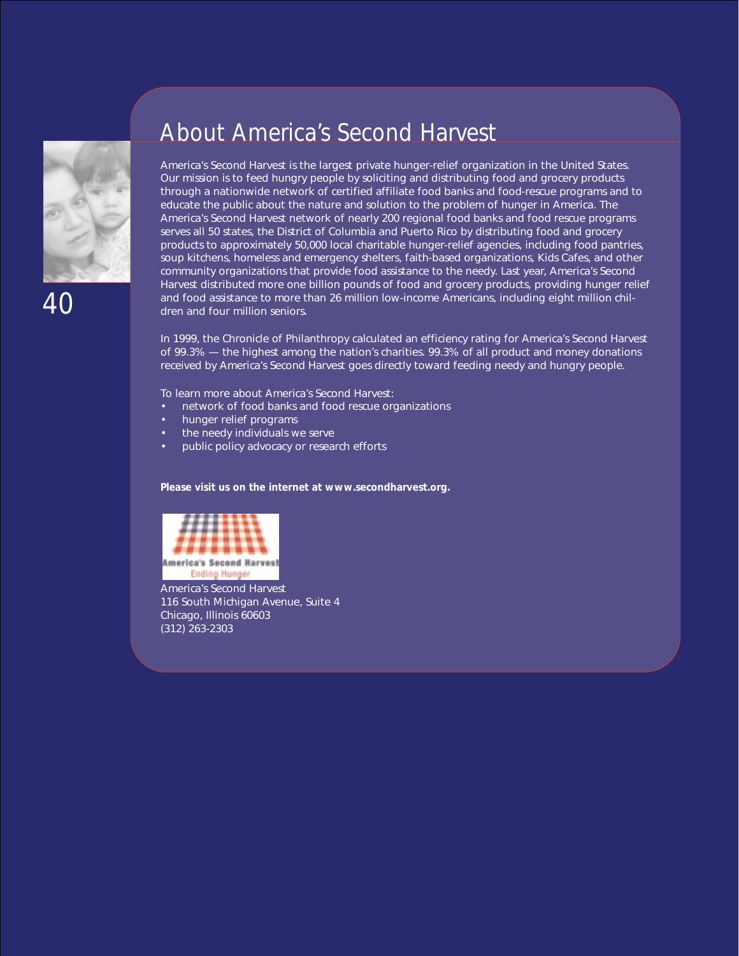

40

### About America's Second Harvest

America's Second Harvest is the largest private hunger-relief organization in the United States. Our mission is to feed hungry people by soliciting and distributing food and grocery products through a nationwide network of certified affiliate food banks and food-rescue programs and to educate the public about the nature and solution to the problem of hunger in America. The America's Second Harvest network of nearly 200 regional food banks and food rescue programs serves all 50 states, the District of Columbia and Puerto Rico by distributing food and grocery products to approximately 50,000 local charitable hunger-relief agencies, including food pantries, soup kitchens, homeless and emergency shelters, faith-based organizations, Kids Cafes, and other community organizations that provide food assistance to the needy. Last year, America's Second Harvest distributed more one billion pounds of food and grocery products, providing hunger relief and food assistance to more than 26 million low-income Americans, including eight million children and four million seniors.

In 1999, the *Chronicle of Philanthropy* calculated an efficiency rating for America's Second Harvest of 99.3% — the highest among the nation's charities. 99.3% of all product and money donations received by America's Second Harvest goes directly toward feeding needy and hungry people.

To learn more about America's Second Harvest:

- network of food banks and food rescue organizations
- hunger relief programs
- the needy individuals we serve
- public policy advocacy or research efforts

**Please visit us on the internet at www.secondharvest.org.**



America's Second Harvest 116 South Michigan Avenue, Suite 4 Chicago, Illinois 60603 (312) 263-2303